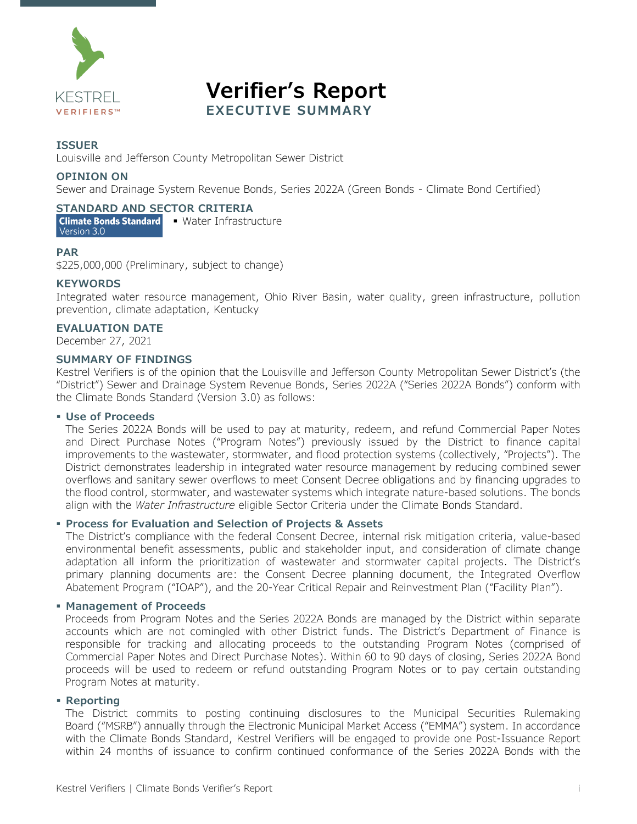

**Verifier's Report EXECUTIVE SUMMARY**

#### **ISSUER**

Louisville and Jefferson County Metropolitan Sewer District

#### **OPINION ON**

Sewer and Drainage System Revenue Bonds, Series 2022A (Green Bonds - Climate Bond Certified)

#### **STANDARD AND SECTOR CRITERIA**

Climate Bonds Standard • Water Infrastructure Version 3.0

#### **PAR**

\$225,000,000 (Preliminary, subject to change)

#### **KEYWORDS**

Integrated water resource management, Ohio River Basin, water quality, green infrastructure, pollution prevention, climate adaptation, Kentucky

#### **EVALUATION DATE**

December 27, 2021

#### **SUMMARY OF FINDINGS**

Kestrel Verifiers is of the opinion that the Louisville and Jefferson County Metropolitan Sewer District's (the "District") Sewer and Drainage System Revenue Bonds, Series 2022A ("Series 2022A Bonds") conform with the Climate Bonds Standard (Version 3.0) as follows:

#### **Use of Proceeds**

The Series 2022A Bonds will be used to pay at maturity, redeem, and refund Commercial Paper Notes and Direct Purchase Notes ("Program Notes") previously issued by the District to finance capital improvements to the wastewater, stormwater, and flood protection systems (collectively, "Projects"). The District demonstrates leadership in integrated water resource management by reducing combined sewer overflows and sanitary sewer overflows to meet Consent Decree obligations and by financing upgrades to the flood control, stormwater, and wastewater systems which integrate nature-based solutions. The bonds align with the *Water Infrastructure* eligible Sector Criteria under the Climate Bonds Standard.

#### **Process for Evaluation and Selection of Projects & Assets**

The District's compliance with the federal Consent Decree, internal risk mitigation criteria, value-based environmental benefit assessments, public and stakeholder input, and consideration of climate change adaptation all inform the prioritization of wastewater and stormwater capital projects. The District's primary planning documents are: the Consent Decree planning document, the Integrated Overflow Abatement Program ("IOAP"), and the 20-Year Critical Repair and Reinvestment Plan ("Facility Plan").

#### **Management of Proceeds**

Proceeds from Program Notes and the Series 2022A Bonds are managed by the District within separate accounts which are not comingled with other District funds. The District's Department of Finance is responsible for tracking and allocating proceeds to the outstanding Program Notes (comprised of Commercial Paper Notes and Direct Purchase Notes). Within 60 to 90 days of closing, Series 2022A Bond proceeds will be used to redeem or refund outstanding Program Notes or to pay certain outstanding Program Notes at maturity.

#### **Reporting**

The District commits to posting continuing disclosures to the Municipal Securities Rulemaking Board ("MSRB") annually through the Electronic Municipal Market Access ("EMMA") system. In accordance with the Climate Bonds Standard, Kestrel Verifiers will be engaged to provide one Post-Issuance Report within 24 months of issuance to confirm continued conformance of the Series 2022A Bonds with the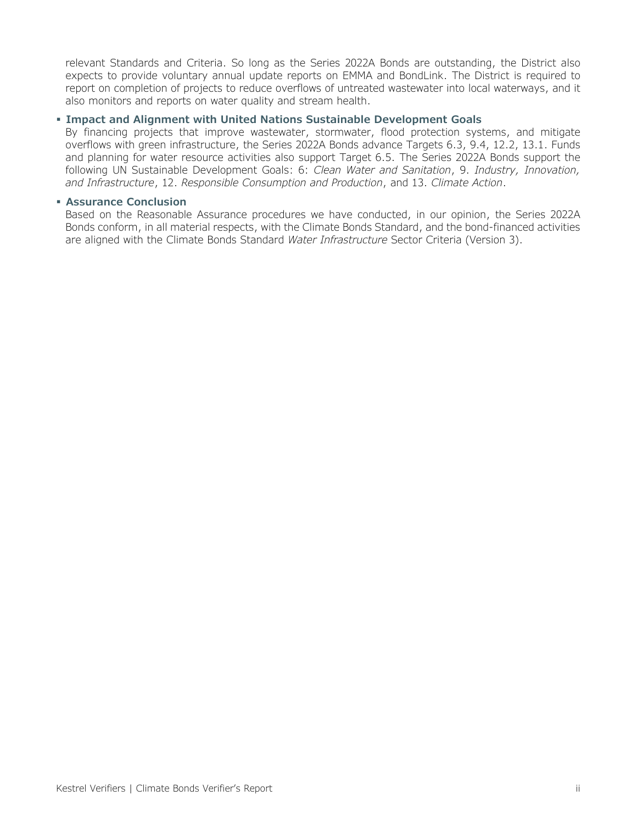relevant Standards and Criteria. So long as the Series 2022A Bonds are outstanding, the District also expects to provide voluntary annual update reports on EMMA and BondLink. The District is required to report on completion of projects to reduce overflows of untreated wastewater into local waterways, and it also monitors and reports on water quality and stream health.

#### **Impact and Alignment with United Nations Sustainable Development Goals**

By financing projects that improve wastewater, stormwater, flood protection systems, and mitigate overflows with green infrastructure, the Series 2022A Bonds advance Targets 6.3, 9.4, 12.2, 13.1. Funds and planning for water resource activities also support Target 6.5. The Series 2022A Bonds support the following UN Sustainable Development Goals: 6: *Clean Water and Sanitation*, 9. *Industry, Innovation, and Infrastructure*, 12. *Responsible Consumption and Production*, and 13. *Climate Action*.

#### **Assurance Conclusion**

Based on the Reasonable Assurance procedures we have conducted, in our opinion, the Series 2022A Bonds conform, in all material respects, with the Climate Bonds Standard, and the bond-financed activities are aligned with the Climate Bonds Standard *Water Infrastructure* Sector Criteria (Version 3).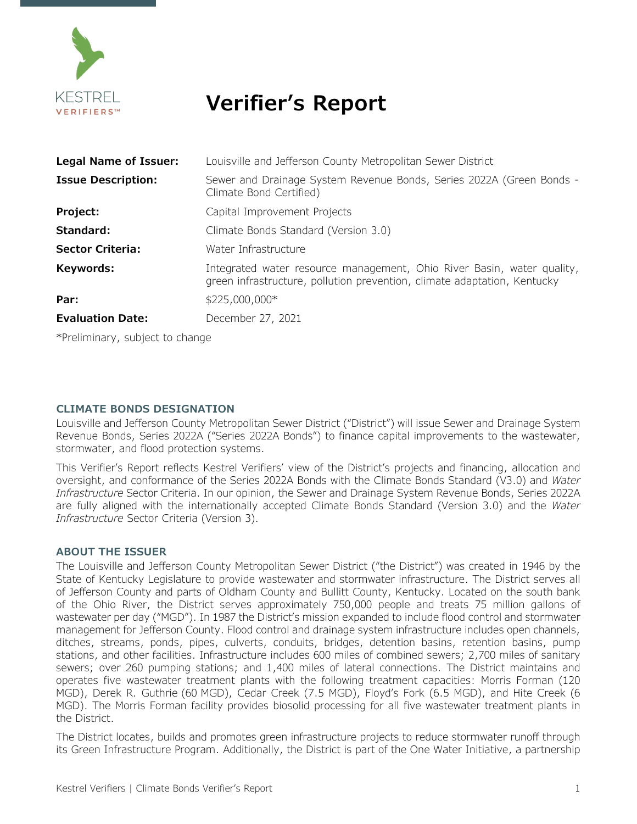

## **Verifier's Report**

| Legal Name of Issuer:                        | Louisville and Jefferson County Metropolitan Sewer District                                                                                        |  |  |  |  |  |
|----------------------------------------------|----------------------------------------------------------------------------------------------------------------------------------------------------|--|--|--|--|--|
| <b>Issue Description:</b>                    | Sewer and Drainage System Revenue Bonds, Series 2022A (Green Bonds -<br>Climate Bond Certified)                                                    |  |  |  |  |  |
| Project:                                     | Capital Improvement Projects                                                                                                                       |  |  |  |  |  |
| Standard:                                    | Climate Bonds Standard (Version 3.0)                                                                                                               |  |  |  |  |  |
| <b>Sector Criteria:</b>                      | Water Infrastructure                                                                                                                               |  |  |  |  |  |
| Keywords:                                    | Integrated water resource management, Ohio River Basin, water quality,<br>green infrastructure, pollution prevention, climate adaptation, Kentucky |  |  |  |  |  |
| Par:                                         | \$225,000,000*                                                                                                                                     |  |  |  |  |  |
| <b>Evaluation Date:</b><br>December 27, 2021 |                                                                                                                                                    |  |  |  |  |  |
| *Preliminary, subject to change              |                                                                                                                                                    |  |  |  |  |  |

#### **CLIMATE BONDS DESIGNATION**

Louisville and Jefferson County Metropolitan Sewer District ("District") will issue Sewer and Drainage System Revenue Bonds, Series 2022A ("Series 2022A Bonds") to finance capital improvements to the wastewater, stormwater, and flood protection systems.

This Verifier's Report reflects Kestrel Verifiers' view of the District's projects and financing, allocation and oversight, and conformance of the Series 2022A Bonds with the Climate Bonds Standard (V3.0) and *Water Infrastructure* Sector Criteria. In our opinion, the Sewer and Drainage System Revenue Bonds, Series 2022A are fully aligned with the internationally accepted Climate Bonds Standard (Version 3.0) and the *Water Infrastructure* Sector Criteria (Version 3).

#### **ABOUT THE ISSUER**

The Louisville and Jefferson County Metropolitan Sewer District ("the District") was created in 1946 by the State of Kentucky Legislature to provide wastewater and stormwater infrastructure. The District serves all of Jefferson County and parts of Oldham County and Bullitt County, Kentucky. Located on the south bank of the Ohio River, the District serves approximately 750,000 people and treats 75 million gallons of wastewater per day ("MGD"). In 1987 the District's mission expanded to include flood control and stormwater management for Jefferson County. Flood control and drainage system infrastructure includes open channels, ditches, streams, ponds, pipes, culverts, conduits, bridges, detention basins, retention basins, pump stations, and other facilities. Infrastructure includes 600 miles of combined sewers; 2,700 miles of sanitary sewers; over 260 pumping stations; and 1,400 miles of lateral connections. The District maintains and operates five wastewater treatment plants with the following treatment capacities: Morris Forman (120 MGD), Derek R. Guthrie (60 MGD), Cedar Creek (7.5 MGD), Floyd's Fork (6.5 MGD), and Hite Creek (6 MGD). The Morris Forman facility provides biosolid processing for all five wastewater treatment plants in the District.

The District locates, builds and promotes green infrastructure projects to reduce stormwater runoff through its Green Infrastructure Program. Additionally, the District is part of the One Water Initiative, a partnership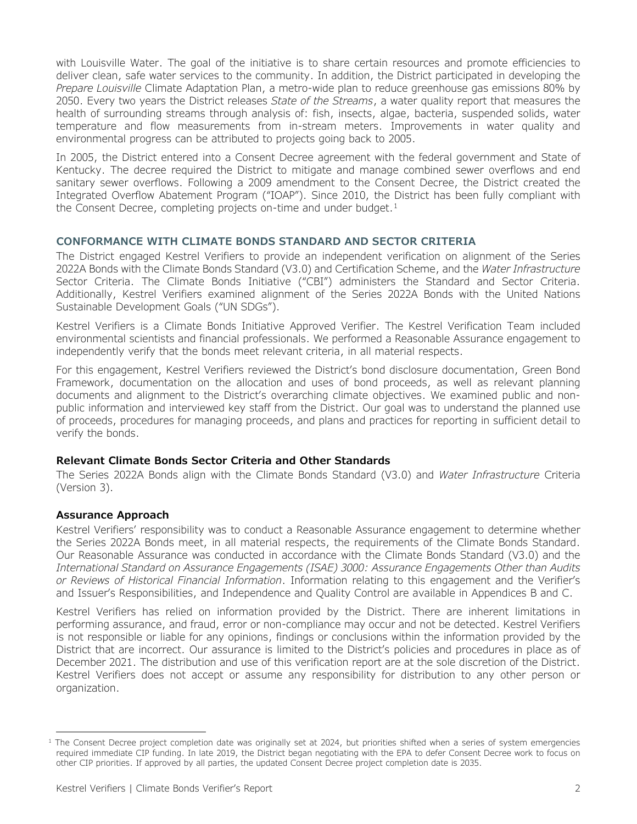with Louisville Water. The goal of the initiative is to share certain resources and promote efficiencies to deliver clean, safe water services to the community. In addition, the District participated in developing the *Prepare Louisville* Climate Adaptation Plan, a metro-wide plan to reduce greenhouse gas emissions 80% by 2050. Every two years the District releases *State of the Streams*, a water quality report that measures the health of surrounding streams through analysis of: fish, insects, algae, bacteria, suspended solids, water temperature and flow measurements from in-stream meters. Improvements in water quality and environmental progress can be attributed to projects going back to 2005.

In 2005, the District entered into a Consent Decree agreement with the federal government and State of Kentucky. The decree required the District to mitigate and manage combined sewer overflows and end sanitary sewer overflows. Following a 2009 amendment to the Consent Decree, the District created the Integrated Overflow Abatement Program ("IOAP"). Since 2010, the District has been fully compliant with the Consent Decree, completing projects on-time and under budget.<sup>[1](#page-3-0)</sup>

#### **CONFORMANCE WITH CLIMATE BONDS STANDARD AND SECTOR CRITERIA**

The District engaged Kestrel Verifiers to provide an independent verification on alignment of the Series 2022A Bonds with the Climate Bonds Standard (V3.0) and Certification Scheme, and the *Water Infrastructure* Sector Criteria. The Climate Bonds Initiative ("CBI") administers the Standard and Sector Criteria. Additionally, Kestrel Verifiers examined alignment of the Series 2022A Bonds with the United Nations Sustainable Development Goals ("UN SDGs").

Kestrel Verifiers is a Climate Bonds Initiative Approved Verifier. The Kestrel Verification Team included environmental scientists and financial professionals. We performed a Reasonable Assurance engagement to independently verify that the bonds meet relevant criteria, in all material respects.

For this engagement, Kestrel Verifiers reviewed the District's bond disclosure documentation, Green Bond Framework, documentation on the allocation and uses of bond proceeds, as well as relevant planning documents and alignment to the District's overarching climate objectives. We examined public and nonpublic information and interviewed key staff from the District. Our goal was to understand the planned use of proceeds, procedures for managing proceeds, and plans and practices for reporting in sufficient detail to verify the bonds.

#### **Relevant Climate Bonds Sector Criteria and Other Standards**

The Series 2022A Bonds align with the Climate Bonds Standard (V3.0) and *Water Infrastructure* Criteria (Version 3).

#### **Assurance Approach**

Kestrel Verifiers' responsibility was to conduct a Reasonable Assurance engagement to determine whether the Series 2022A Bonds meet, in all material respects, the requirements of the Climate Bonds Standard. Our Reasonable Assurance was conducted in accordance with the Climate Bonds Standard (V3.0) and the *International Standard on Assurance Engagements (ISAE) 3000: Assurance Engagements Other than Audits or Reviews of Historical Financial Information*. Information relating to this engagement and the Verifier's and Issuer's Responsibilities, and Independence and Quality Control are available in Appendices B and C.

Kestrel Verifiers has relied on information provided by the District. There are inherent limitations in performing assurance, and fraud, error or non-compliance may occur and not be detected. Kestrel Verifiers is not responsible or liable for any opinions, findings or conclusions within the information provided by the District that are incorrect. Our assurance is limited to the District's policies and procedures in place as of December 2021. The distribution and use of this verification report are at the sole discretion of the District. Kestrel Verifiers does not accept or assume any responsibility for distribution to any other person or organization.

<span id="page-3-0"></span><sup>&</sup>lt;sup>1</sup> The Consent Decree project completion date was originally set at 2024, but priorities shifted when a series of system emergencies required immediate CIP funding. In late 2019, the District began negotiating with the EPA to defer Consent Decree work to focus on other CIP priorities. If approved by all parties, the updated Consent Decree project completion date is 2035.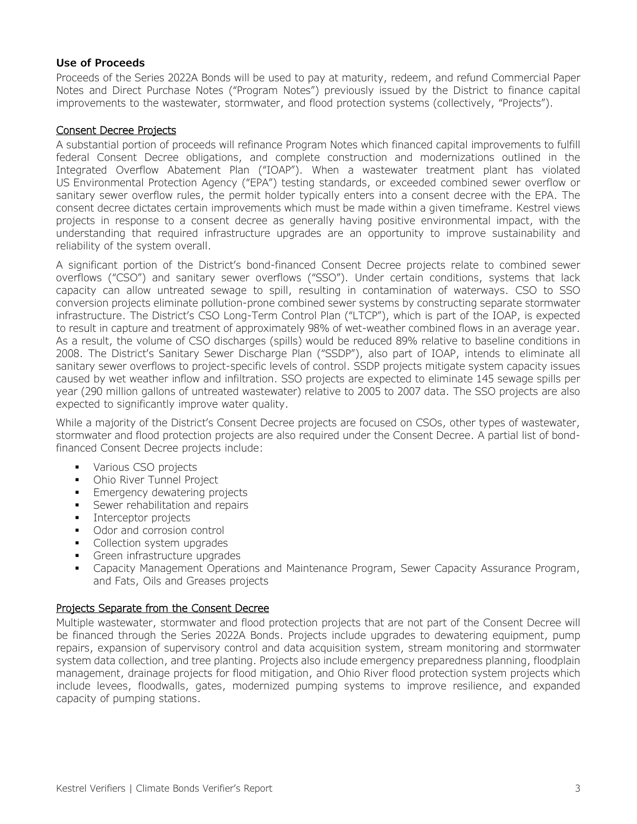#### **Use of Proceeds**

Proceeds of the Series 2022A Bonds will be used to pay at maturity, redeem, and refund Commercial Paper Notes and Direct Purchase Notes ("Program Notes") previously issued by the District to finance capital improvements to the wastewater, stormwater, and flood protection systems (collectively, "Projects").

#### Consent Decree Projects

A substantial portion of proceeds will refinance Program Notes which financed capital improvements to fulfill federal Consent Decree obligations, and complete construction and modernizations outlined in the Integrated Overflow Abatement Plan ("IOAP"). When a wastewater treatment plant has violated US Environmental Protection Agency ("EPA") testing standards, or exceeded combined sewer overflow or sanitary sewer overflow rules, the permit holder typically enters into a consent decree with the EPA. The consent decree dictates certain improvements which must be made within a given timeframe. Kestrel views projects in response to a consent decree as generally having positive environmental impact, with the understanding that required infrastructure upgrades are an opportunity to improve sustainability and reliability of the system overall.

A significant portion of the District's bond-financed Consent Decree projects relate to combined sewer overflows ("CSO") and sanitary sewer overflows ("SSO"). Under certain conditions, systems that lack capacity can allow untreated sewage to spill, resulting in contamination of waterways. CSO to SSO conversion projects eliminate pollution-prone combined sewer systems by constructing separate stormwater infrastructure. The District's CSO Long-Term Control Plan ("LTCP"), which is part of the IOAP, is expected to result in capture and treatment of approximately 98% of wet-weather combined flows in an average year. As a result, the volume of CSO discharges (spills) would be reduced 89% relative to baseline conditions in 2008. The District's Sanitary Sewer Discharge Plan ("SSDP"), also part of IOAP, intends to eliminate all sanitary sewer overflows to project-specific levels of control. SSDP projects mitigate system capacity issues caused by wet weather inflow and infiltration. SSO projects are expected to eliminate 145 sewage spills per year (290 million gallons of untreated wastewater) relative to 2005 to 2007 data. The SSO projects are also expected to significantly improve water quality.

While a majority of the District's Consent Decree projects are focused on CSOs, other types of wastewater, stormwater and flood protection projects are also required under the Consent Decree. A partial list of bondfinanced Consent Decree projects include:

- Various CSO projects
- **-** Ohio River Tunnel Project
- **Emergency dewatering projects**
- Sewer rehabilitation and repairs
- **Interceptor projects**
- Odor and corrosion control
- Collection system upgrades
- Green infrastructure upgrades
- Capacity Management Operations and Maintenance Program, Sewer Capacity Assurance Program, and Fats, Oils and Greases projects

#### Projects Separate from the Consent Decree

Multiple wastewater, stormwater and flood protection projects that are not part of the Consent Decree will be financed through the Series 2022A Bonds. Projects include upgrades to dewatering equipment, pump repairs, expansion of supervisory control and data acquisition system, stream monitoring and stormwater system data collection, and tree planting. Projects also include emergency preparedness planning, floodplain management, drainage projects for flood mitigation, and Ohio River flood protection system projects which include levees, floodwalls, gates, modernized pumping systems to improve resilience, and expanded capacity of pumping stations.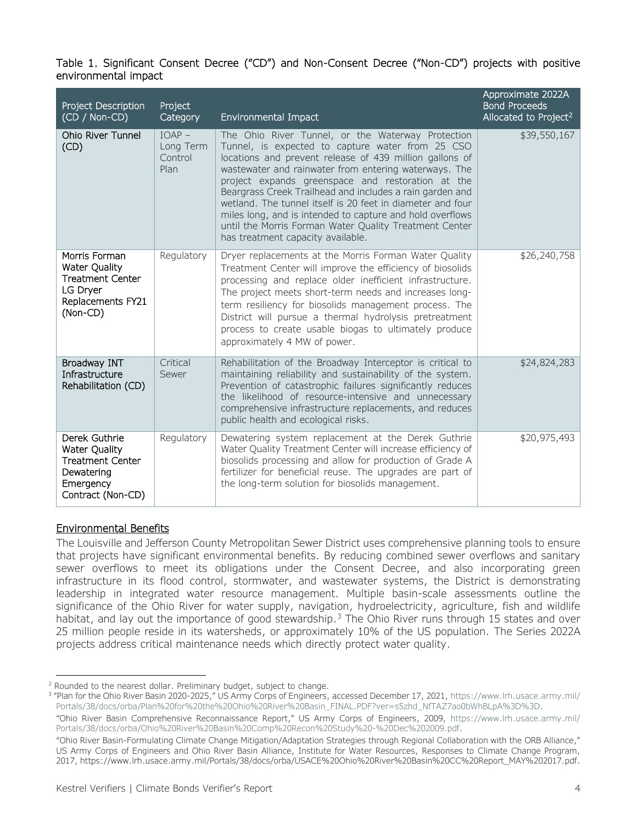#### Table 1. Significant Consent Decree ("CD") and Non-Consent Decree ("Non-CD") projects with positive environmental impact

| Project Description<br>(CD / Non-CD)                                                                             | Project<br>Category                      | Environmental Impact                                                                                                                                                                                                                                                                                                                                                                                                                                                                                                                                                 | Approximate 2022A<br><b>Bond Proceeds</b><br>Allocated to Project <sup>2</sup> |
|------------------------------------------------------------------------------------------------------------------|------------------------------------------|----------------------------------------------------------------------------------------------------------------------------------------------------------------------------------------------------------------------------------------------------------------------------------------------------------------------------------------------------------------------------------------------------------------------------------------------------------------------------------------------------------------------------------------------------------------------|--------------------------------------------------------------------------------|
| <b>Ohio River Tunnel</b><br>(CD)                                                                                 | $IOAP -$<br>Long Term<br>Control<br>Plan | The Ohio River Tunnel, or the Waterway Protection<br>Tunnel, is expected to capture water from 25 CSO<br>locations and prevent release of 439 million gallons of<br>wastewater and rainwater from entering waterways. The<br>project expands greenspace and restoration at the<br>Beargrass Creek Trailhead and includes a rain garden and<br>wetland. The tunnel itself is 20 feet in diameter and four<br>miles long, and is intended to capture and hold overflows<br>until the Morris Forman Water Quality Treatment Center<br>has treatment capacity available. | \$39,550,167                                                                   |
| Morris Forman<br>Water Quality<br><b>Treatment Center</b><br>LG Dryer<br>Replacements FY21<br>(Non-CD)           | Regulatory                               | Dryer replacements at the Morris Forman Water Quality<br>Treatment Center will improve the efficiency of biosolids<br>processing and replace older inefficient infrastructure.<br>The project meets short-term needs and increases long-<br>term resiliency for biosolids management process. The<br>District will pursue a thermal hydrolysis pretreatment<br>process to create usable biogas to ultimately produce<br>approximately 4 MW of power.                                                                                                                 | \$26,240,758                                                                   |
| Broadway INT<br>Infrastructure<br>Rehabilitation (CD)                                                            | Critical<br>Sewer                        | Rehabilitation of the Broadway Interceptor is critical to<br>maintaining reliability and sustainability of the system.<br>Prevention of catastrophic failures significantly reduces<br>the likelihood of resource-intensive and unnecessary<br>comprehensive infrastructure replacements, and reduces<br>public health and ecological risks.                                                                                                                                                                                                                         | \$24,824,283                                                                   |
| Derek Guthrie<br><b>Water Quality</b><br><b>Treatment Center</b><br>Dewatering<br>Emergency<br>Contract (Non-CD) | Regulatory                               | Dewatering system replacement at the Derek Guthrie<br>Water Quality Treatment Center will increase efficiency of<br>biosolids processing and allow for production of Grade A<br>fertilizer for beneficial reuse. The upgrades are part of<br>the long-term solution for biosolids management.                                                                                                                                                                                                                                                                        | \$20,975,493                                                                   |

#### Environmental Benefits

The Louisville and Jefferson County Metropolitan Sewer District uses comprehensive planning tools to ensure that projects have significant environmental benefits. By reducing combined sewer overflows and sanitary sewer overflows to meet its obligations under the Consent Decree, and also incorporating green infrastructure in its flood control, stormwater, and wastewater systems, the District is demonstrating leadership in integrated water resource management. Multiple basin-scale assessments outline the significance of the Ohio River for water supply, navigation, hydroelectricity, agriculture, fish and wildlife habitat, and lay out the importance of good stewardship. $3$  The Ohio River runs through 15 states and over 25 million people reside in its watersheds, or approximately 10% of the US population. The Series 2022A projects address critical maintenance needs which directly protect water quality.

<span id="page-5-0"></span><sup>&</sup>lt;sup>2</sup> Rounded to the nearest dollar. Preliminary budget, subject to change.

<span id="page-5-1"></span><sup>&</sup>lt;sup>3</sup> "Plan for the Ohio River Basin 2020-2025," US Army Corps of Engineers, accessed December 17, 2021[, https://www.lrh.usace.army.mil/](https://www.lrh.usace.army.mil/Portals/38/docs/orba/Plan%20for%20the%20Ohio%20River%20Basin_FINAL.PDF?ver=s5zhd_NfTAZ7ao0bWhBLpA%3D%3D) [Portals/38/docs/orba/Plan%20for%20the%20Ohio%20River%20Basin\\_FINAL.PDF?ver=s5zhd\\_NfTAZ7ao0bWhBLpA%3D%3D.](https://www.lrh.usace.army.mil/Portals/38/docs/orba/Plan%20for%20the%20Ohio%20River%20Basin_FINAL.PDF?ver=s5zhd_NfTAZ7ao0bWhBLpA%3D%3D)

<sup>&</sup>quot;Ohio River Basin Comprehensive Reconnaissance Report," US Army Corps of Engineers, 2009, [https://www.lrh.usace.army.mil/](https://www.lrh.usace.army.mil/Portals/38/docs/orba/Ohio%20River%20Basin%20Comp%20Recon%20Study%20-%20Dec%202009.pdf) [Portals/38/docs/orba/Ohio%20River%20Basin%20Comp%20Recon%20Study%20-%20Dec%202009.pdf.](https://www.lrh.usace.army.mil/Portals/38/docs/orba/Ohio%20River%20Basin%20Comp%20Recon%20Study%20-%20Dec%202009.pdf)

<sup>&</sup>quot;Ohio River Basin-Formulating Climate Change Mitigation/Adaptation Strategies through Regional Collaboration with the ORB Alliance," US Army Corps of Engineers and Ohio River Basin Alliance, Institute for Water Resources, Responses to Climate Change Program, 2017, [https://www.lrh.usace.army.mil/Portals/38/docs/orba/USACE%20Ohio%20River%20Basin%20CC%20Report\\_MAY%202017.pdf.](https://www.lrh.usace.army.mil/Portals/38/docs/orba/USACE%20Ohio%20River%20Basin%20CC%20Report_MAY%202017.pdf)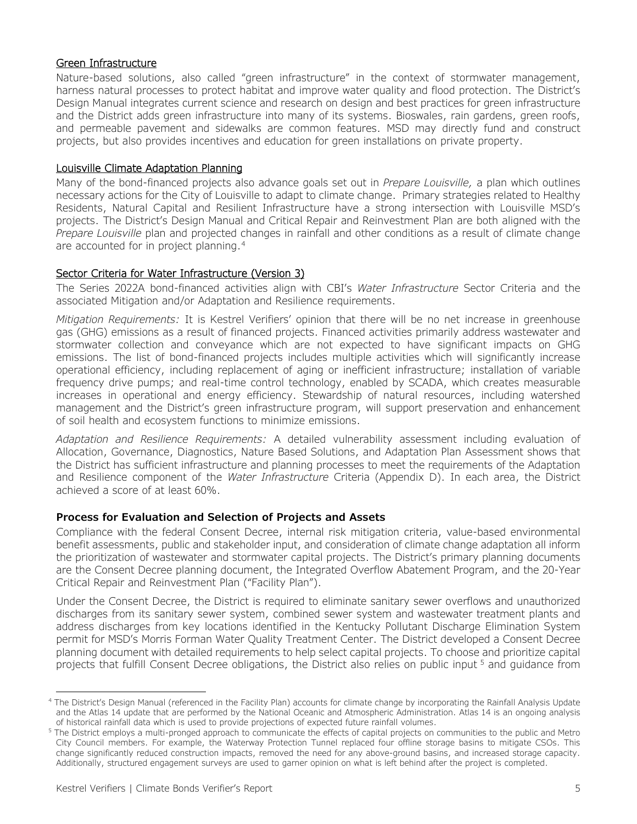#### Green Infrastructure

Nature-based solutions, also called "green infrastructure" in the context of stormwater management, harness natural processes to protect habitat and improve water quality and flood protection. The District's Design Manual integrates current science and research on design and best practices for green infrastructure and the District adds green infrastructure into many of its systems. Bioswales, rain gardens, green roofs, and permeable pavement and sidewalks are common features. MSD may directly fund and construct projects, but also provides incentives and education for green installations on private property.

#### Louisville Climate Adaptation Planning

Many of the bond-financed projects also advance goals set out in *Prepare Louisville,* a plan which outlines necessary actions for the City of Louisville to adapt to climate change. Primary strategies related to Healthy Residents, Natural Capital and Resilient Infrastructure have a strong intersection with Louisville MSD's projects. The District's Design Manual and Critical Repair and Reinvestment Plan are both aligned with the *Prepare Louisville* plan and projected changes in rainfall and other conditions as a result of climate change are accounted for in project planning.[4](#page-6-0)

#### Sector Criteria for Water Infrastructure (Version 3)

The Series 2022A bond-financed activities align with CBI's *Water Infrastructure* Sector Criteria and the associated Mitigation and/or Adaptation and Resilience requirements.

*Mitigation Requirements:* It is Kestrel Verifiers' opinion that there will be no net increase in greenhouse gas (GHG) emissions as a result of financed projects. Financed activities primarily address wastewater and stormwater collection and conveyance which are not expected to have significant impacts on GHG emissions. The list of bond-financed projects includes multiple activities which will significantly increase operational efficiency, including replacement of aging or inefficient infrastructure; installation of variable frequency drive pumps; and real-time control technology, enabled by SCADA, which creates measurable increases in operational and energy efficiency. Stewardship of natural resources, including watershed management and the District's green infrastructure program, will support preservation and enhancement of soil health and ecosystem functions to minimize emissions.

*Adaptation and Resilience Requirements:* A detailed vulnerability assessment including evaluation of Allocation, Governance, Diagnostics, Nature Based Solutions, and Adaptation Plan Assessment shows that the District has sufficient infrastructure and planning processes to meet the requirements of the Adaptation and Resilience component of the *Water Infrastructure* Criteria (Appendix D). In each area, the District achieved a score of at least 60%.

#### **Process for Evaluation and Selection of Projects and Assets**

Compliance with the federal Consent Decree, internal risk mitigation criteria, value-based environmental benefit assessments, public and stakeholder input, and consideration of climate change adaptation all inform the prioritization of wastewater and stormwater capital projects. The District's primary planning documents are the Consent Decree planning document, the Integrated Overflow Abatement Program, and the 20-Year Critical Repair and Reinvestment Plan ("Facility Plan").

Under the Consent Decree, the District is required to eliminate sanitary sewer overflows and unauthorized discharges from its sanitary sewer system, combined sewer system and wastewater treatment plants and address discharges from key locations identified in the Kentucky Pollutant Discharge Elimination System permit for MSD's Morris Forman Water Quality Treatment Center. The District developed a Consent Decree planning document with detailed requirements to help select capital projects. To choose and prioritize capital projects that fulfill Consent Decree obligations, the District also relies on public input<sup>[5](#page-6-1)</sup> and quidance from

<span id="page-6-0"></span><sup>&</sup>lt;sup>4</sup> The District's Design Manual (referenced in the Facility Plan) accounts for climate change by incorporating the Rainfall Analysis Update and the Atlas 14 update that are performed by the National Oceanic and Atmospheric Administration. Atlas 14 is an ongoing analysis of historical rainfall data which is used to provide projections of expected future rainfall volumes.

<span id="page-6-1"></span><sup>&</sup>lt;sup>5</sup> The District employs a multi-pronged approach to communicate the effects of capital projects on communities to the public and Metro City Council members. For example, the Waterway Protection Tunnel replaced four offline storage basins to mitigate CSOs. This change significantly reduced construction impacts, removed the need for any above-ground basins, and increased storage capacity. Additionally, structured engagement surveys are used to garner opinion on what is left behind after the project is completed.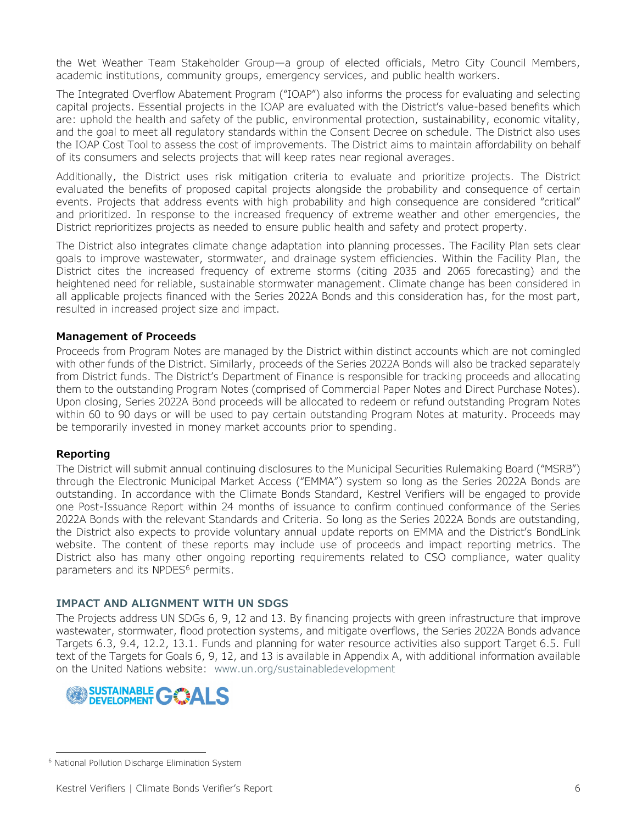the Wet Weather Team Stakeholder Group—a group of elected officials, Metro City Council Members, academic institutions, community groups, emergency services, and public health workers.

The Integrated Overflow Abatement Program ("IOAP") also informs the process for evaluating and selecting capital projects. Essential projects in the IOAP are evaluated with the District's value-based benefits which are: uphold the health and safety of the public, environmental protection, sustainability, economic vitality, and the goal to meet all regulatory standards within the Consent Decree on schedule. The District also uses the IOAP Cost Tool to assess the cost of improvements. The District aims to maintain affordability on behalf of its consumers and selects projects that will keep rates near regional averages.

Additionally, the District uses risk mitigation criteria to evaluate and prioritize projects. The District evaluated the benefits of proposed capital projects alongside the probability and consequence of certain events. Projects that address events with high probability and high consequence are considered "critical" and prioritized. In response to the increased frequency of extreme weather and other emergencies, the District reprioritizes projects as needed to ensure public health and safety and protect property.

The District also integrates climate change adaptation into planning processes. The Facility Plan sets clear goals to improve wastewater, stormwater, and drainage system efficiencies. Within the Facility Plan, the District cites the increased frequency of extreme storms (citing 2035 and 2065 forecasting) and the heightened need for reliable, sustainable stormwater management. Climate change has been considered in all applicable projects financed with the Series 2022A Bonds and this consideration has, for the most part, resulted in increased project size and impact.

#### **Management of Proceeds**

Proceeds from Program Notes are managed by the District within distinct accounts which are not comingled with other funds of the District. Similarly, proceeds of the Series 2022A Bonds will also be tracked separately from District funds. The District's Department of Finance is responsible for tracking proceeds and allocating them to the outstanding Program Notes (comprised of Commercial Paper Notes and Direct Purchase Notes). Upon closing, Series 2022A Bond proceeds will be allocated to redeem or refund outstanding Program Notes within 60 to 90 days or will be used to pay certain outstanding Program Notes at maturity. Proceeds may be temporarily invested in money market accounts prior to spending.

#### **Reporting**

The District will submit annual continuing disclosures to the Municipal Securities Rulemaking Board ("MSRB") through the Electronic Municipal Market Access ("EMMA") system so long as the Series 2022A Bonds are outstanding. In accordance with the Climate Bonds Standard, Kestrel Verifiers will be engaged to provide one Post-Issuance Report within 24 months of issuance to confirm continued conformance of the Series 2022A Bonds with the relevant Standards and Criteria. So long as the Series 2022A Bonds are outstanding, the District also expects to provide voluntary annual update reports on EMMA and the District's BondLink website. The content of these reports may include use of proceeds and impact reporting metrics. The District also has many other ongoing reporting requirements related to CSO compliance, water quality parameters and its NPDES<sup>[6](#page-7-0)</sup> permits.

#### **IMPACT AND ALIGNMENT WITH UN SDGS**

The Projects address UN SDGs 6, 9, 12 and 13. By financing projects with green infrastructure that improve wastewater, stormwater, flood protection systems, and mitigate overflows, the Series 2022A Bonds advance Targets 6.3, 9.4, 12.2, 13.1. Funds and planning for water resource activities also support Target 6.5. Full text of the Targets for Goals 6, 9, 12, and 13 is available in Appendix A, with additional information available on the United Nations website: [www.un.org/sustainabledevelopment](http://www.un.org/sustainabledevelopment/)



<span id="page-7-0"></span><sup>6</sup> National Pollution Discharge Elimination System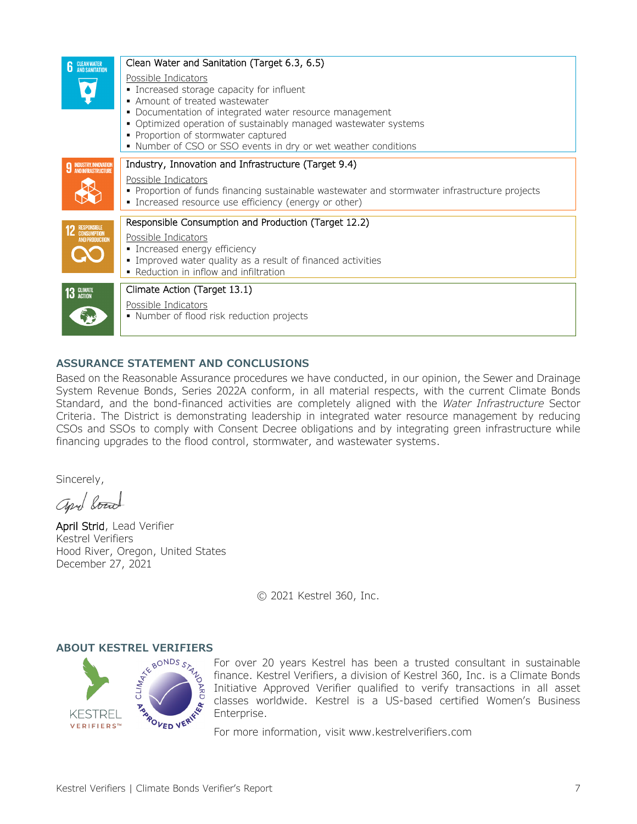| <b>6</b> CLEAN WATER                                                                                                                                                                                                                                                                                                                                                                                                                                                        | Clean Water and Sanitation (Target 6.3, 6.5)                                                                                                                                                                                          |
|-----------------------------------------------------------------------------------------------------------------------------------------------------------------------------------------------------------------------------------------------------------------------------------------------------------------------------------------------------------------------------------------------------------------------------------------------------------------------------|---------------------------------------------------------------------------------------------------------------------------------------------------------------------------------------------------------------------------------------|
|                                                                                                                                                                                                                                                                                                                                                                                                                                                                             | Possible Indicators<br>• Increased storage capacity for influent<br>• Amount of treated wastewater<br>• Documentation of integrated water resource management<br>• Optimized operation of sustainably managed wastewater systems      |
|                                                                                                                                                                                                                                                                                                                                                                                                                                                                             | • Proportion of stormwater captured<br>• Number of CSO or SSO events in dry or wet weather conditions                                                                                                                                 |
| <b>9 INDUSTRY, INNOVATION</b>                                                                                                                                                                                                                                                                                                                                                                                                                                               | Industry, Innovation and Infrastructure (Target 9.4)<br>Possible Indicators<br>• Proportion of funds financing sustainable wastewater and stormwater infrastructure projects<br>• Increased resource use efficiency (energy or other) |
| <b>12 RESPONSIBLE</b><br>AND PRODUCTION                                                                                                                                                                                                                                                                                                                                                                                                                                     | Responsible Consumption and Production (Target 12.2)<br>Possible Indicators<br>• Increased energy efficiency<br>· Improved water quality as a result of financed activities<br>• Reduction in inflow and infiltration                 |
| $\overline{\phantom{a}}$ 3 $\overline{\phantom{a}}$ $\overline{\phantom{a}}$ $\overline{\phantom{a}}$ $\overline{\phantom{a}}$ $\overline{\phantom{a}}$ $\overline{\phantom{a}}$ $\overline{\phantom{a}}$ $\overline{\phantom{a}}$ $\overline{\phantom{a}}$ $\overline{\phantom{a}}$ $\overline{\phantom{a}}$ $\overline{\phantom{a}}$ $\overline{\phantom{a}}$ $\overline{\phantom{a}}$ $\overline{\phantom{a}}$ $\overline{\phantom{a}}$ $\overline{\phantom{a}}$ $\over$ | Climate Action (Target 13.1)<br>Possible Indicators<br>• Number of flood risk reduction projects                                                                                                                                      |

#### **ASSURANCE STATEMENT AND CONCLUSIONS**

Based on the Reasonable Assurance procedures we have conducted, in our opinion, the Sewer and Drainage System Revenue Bonds, Series 2022A conform, in all material respects, with the current Climate Bonds Standard, and the bond-financed activities are completely aligned with the *Water Infrastructure* Sector Criteria. The District is demonstrating leadership in integrated water resource management by reducing CSOs and SSOs to comply with Consent Decree obligations and by integrating green infrastructure while financing upgrades to the flood control, stormwater, and wastewater systems.

Sincerely,

april board

April Strid, Lead Verifier Kestrel Verifiers Hood River, Oregon, United States December 27, 2021

© 2021 Kestrel 360, Inc.



For over 20 years Kestrel has been a trusted consultant in sustainable finance. Kestrel Verifiers, a division of Kestrel 360, Inc. is a Climate Bonds Initiative Approved Verifier qualified to verify transactions in all asset classes worldwide. Kestrel is a US-based certified Women's Business Enterprise.

For more information, visit [www.kestrelverifiers.com](http://www.kestrelverifiers.com/)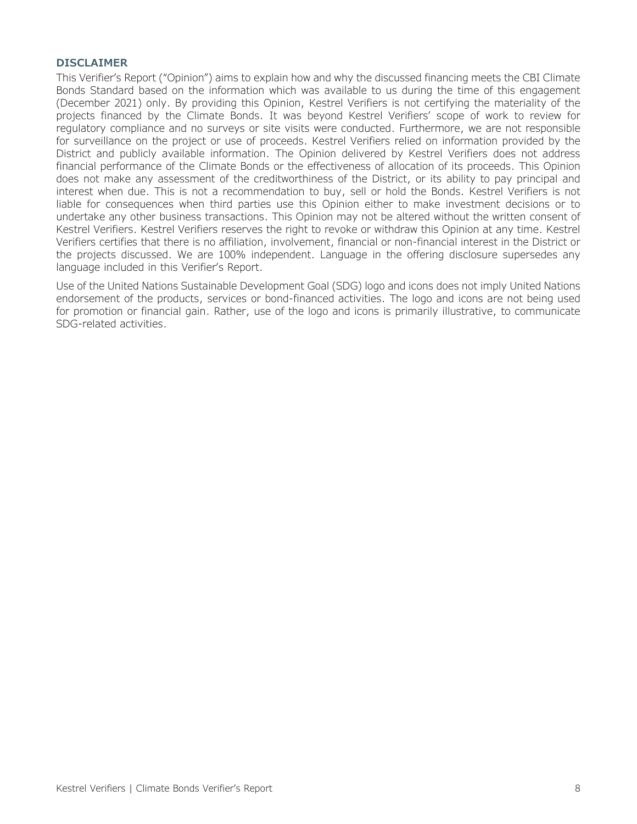#### **DISCLAIMER**

This Verifier's Report ("Opinion") aims to explain how and why the discussed financing meets the CBI Climate Bonds Standard based on the information which was available to us during the time of this engagement (December 2021) only. By providing this Opinion, Kestrel Verifiers is not certifying the materiality of the projects financed by the Climate Bonds. It was beyond Kestrel Verifiers' scope of work to review for regulatory compliance and no surveys or site visits were conducted. Furthermore, we are not responsible for surveillance on the project or use of proceeds. Kestrel Verifiers relied on information provided by the District and publicly available information. The Opinion delivered by Kestrel Verifiers does not address financial performance of the Climate Bonds or the effectiveness of allocation of its proceeds. This Opinion does not make any assessment of the creditworthiness of the District, or its ability to pay principal and interest when due. This is not a recommendation to buy, sell or hold the Bonds. Kestrel Verifiers is not liable for consequences when third parties use this Opinion either to make investment decisions or to undertake any other business transactions. This Opinion may not be altered without the written consent of Kestrel Verifiers. Kestrel Verifiers reserves the right to revoke or withdraw this Opinion at any time. Kestrel Verifiers certifies that there is no affiliation, involvement, financial or non-financial interest in the District or the projects discussed. We are 100% independent. Language in the offering disclosure supersedes any language included in this Verifier's Report.

Use of the United Nations Sustainable Development Goal (SDG) logo and icons does not imply United Nations endorsement of the products, services or bond-financed activities. The logo and icons are not being used for promotion or financial gain. Rather, use of the logo and icons is primarily illustrative, to communicate SDG-related activities.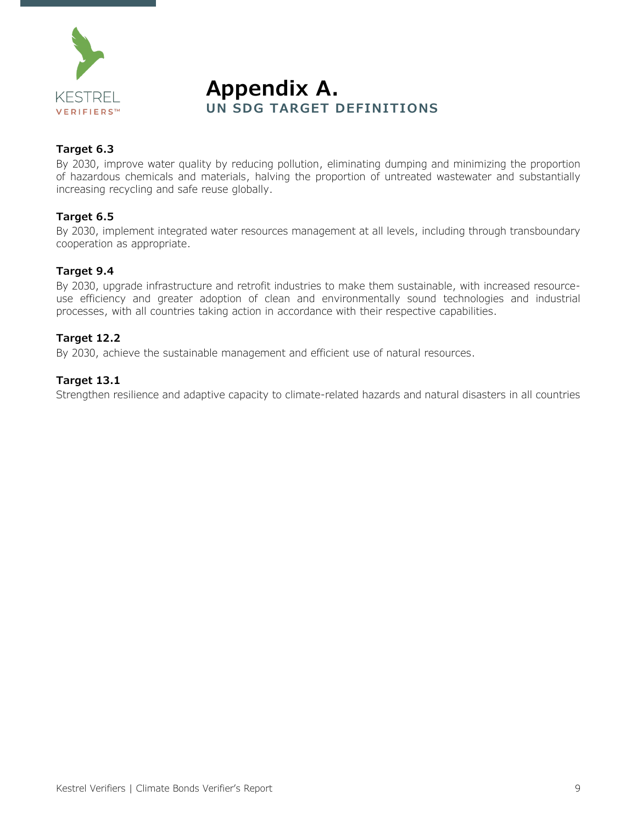

**Appendix A.**<br>UN SDG TARGET DEFINITIONS

#### **Target 6.3**

By 2030, improve water quality by reducing pollution, eliminating dumping and minimizing the proportion of hazardous chemicals and materials, halving the proportion of untreated wastewater and substantially increasing recycling and safe reuse globally.

#### **Target 6.5**

By 2030, implement integrated water resources management at all levels, including through transboundary cooperation as appropriate.

#### **Target 9.4**

By 2030, upgrade infrastructure and retrofit industries to make them sustainable, with increased resourceuse efficiency and greater adoption of clean and environmentally sound technologies and industrial processes, with all countries taking action in accordance with their respective capabilities.

#### **Target 12.2**

By 2030, achieve the sustainable management and efficient use of natural resources.

#### **Target 13.1**

Strengthen resilience and adaptive capacity to climate-related hazards and natural disasters in all countries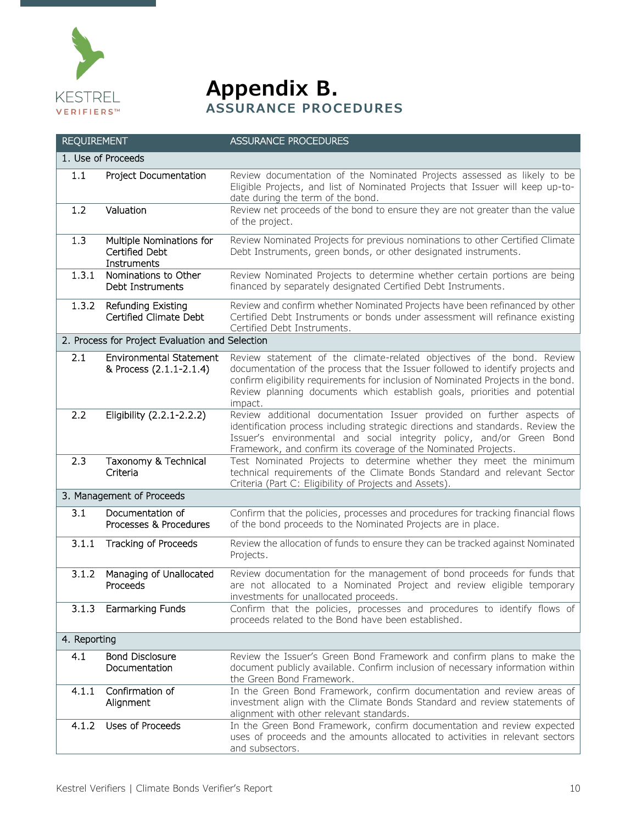

**Appendix B.**<br>ASSURANCE PROCEDURES

| <b>REQUIREMENT</b> |                                                           | <b>ASSURANCE PROCEDURES</b>                                                                                                                                                                                                                                                                                                           |
|--------------------|-----------------------------------------------------------|---------------------------------------------------------------------------------------------------------------------------------------------------------------------------------------------------------------------------------------------------------------------------------------------------------------------------------------|
|                    | 1. Use of Proceeds                                        |                                                                                                                                                                                                                                                                                                                                       |
| 1.1                | Project Documentation                                     | Review documentation of the Nominated Projects assessed as likely to be<br>Eligible Projects, and list of Nominated Projects that Issuer will keep up-to-<br>date during the term of the bond.                                                                                                                                        |
| 1.2                | Valuation                                                 | Review net proceeds of the bond to ensure they are not greater than the value<br>of the project.                                                                                                                                                                                                                                      |
| 1.3                | Multiple Nominations for<br>Certified Debt<br>Instruments | Review Nominated Projects for previous nominations to other Certified Climate<br>Debt Instruments, green bonds, or other designated instruments.                                                                                                                                                                                      |
| 1.3.1              | Nominations to Other<br>Debt Instruments                  | Review Nominated Projects to determine whether certain portions are being<br>financed by separately designated Certified Debt Instruments.                                                                                                                                                                                            |
| 1.3.2              | Refunding Existing<br>Certified Climate Debt              | Review and confirm whether Nominated Projects have been refinanced by other<br>Certified Debt Instruments or bonds under assessment will refinance existing<br>Certified Debt Instruments.                                                                                                                                            |
|                    | 2. Process for Project Evaluation and Selection           |                                                                                                                                                                                                                                                                                                                                       |
| 2.1                | <b>Environmental Statement</b><br>& Process (2.1.1-2.1.4) | Review statement of the climate-related objectives of the bond. Review<br>documentation of the process that the Issuer followed to identify projects and<br>confirm eligibility requirements for inclusion of Nominated Projects in the bond.<br>Review planning documents which establish goals, priorities and potential<br>impact. |
| 2.2                | Eligibility (2.2.1-2.2.2)                                 | Review additional documentation Issuer provided on further aspects of<br>identification process including strategic directions and standards. Review the<br>Issuer's environmental and social integrity policy, and/or Green Bond<br>Framework, and confirm its coverage of the Nominated Projects.                                   |
| 2.3                | Taxonomy & Technical<br>Criteria                          | Test Nominated Projects to determine whether they meet the minimum<br>technical requirements of the Climate Bonds Standard and relevant Sector<br>Criteria (Part C: Eligibility of Projects and Assets).                                                                                                                              |
|                    | 3. Management of Proceeds                                 |                                                                                                                                                                                                                                                                                                                                       |
| 3.1                | Documentation of<br>Processes & Procedures                | Confirm that the policies, processes and procedures for tracking financial flows<br>of the bond proceeds to the Nominated Projects are in place.                                                                                                                                                                                      |
| 3.1.1              | Tracking of Proceeds                                      | Review the allocation of funds to ensure they can be tracked against Nominated<br>Projects.                                                                                                                                                                                                                                           |
| 3.1.2              | Managing of Unallocated<br>Proceeds                       | Review documentation for the management of bond proceeds for funds that<br>are not allocated to a Nominated Project and review eligible temporary<br>investments for unallocated proceeds.                                                                                                                                            |
| 3.1.3              | Earmarking Funds                                          | Confirm that the policies, processes and procedures to identify flows of<br>proceeds related to the Bond have been established.                                                                                                                                                                                                       |
| 4. Reporting       |                                                           |                                                                                                                                                                                                                                                                                                                                       |
| 4.1                | <b>Bond Disclosure</b><br>Documentation                   | Review the Issuer's Green Bond Framework and confirm plans to make the<br>document publicly available. Confirm inclusion of necessary information within<br>the Green Bond Framework.                                                                                                                                                 |
| 4.1.1              | Confirmation of<br>Alignment                              | In the Green Bond Framework, confirm documentation and review areas of<br>investment align with the Climate Bonds Standard and review statements of<br>alignment with other relevant standards.                                                                                                                                       |
| 4.1.2              | Uses of Proceeds                                          | In the Green Bond Framework, confirm documentation and review expected<br>uses of proceeds and the amounts allocated to activities in relevant sectors<br>and subsectors.                                                                                                                                                             |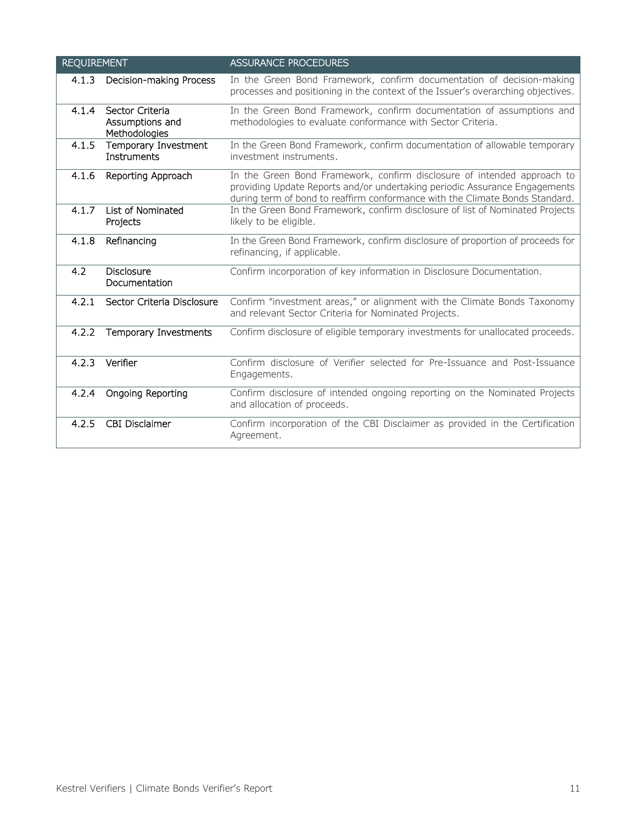| <b>REQUIREMENT</b> |                                                     | <b>ASSURANCE PROCEDURES</b>                                                                                                                                                                                                           |
|--------------------|-----------------------------------------------------|---------------------------------------------------------------------------------------------------------------------------------------------------------------------------------------------------------------------------------------|
| 4.1.3              | Decision-making Process                             | In the Green Bond Framework, confirm documentation of decision-making<br>processes and positioning in the context of the Issuer's overarching objectives.                                                                             |
| 4.1.4              | Sector Criteria<br>Assumptions and<br>Methodologies | In the Green Bond Framework, confirm documentation of assumptions and<br>methodologies to evaluate conformance with Sector Criteria.                                                                                                  |
| 4.1.5              | Temporary Investment<br>Instruments                 | In the Green Bond Framework, confirm documentation of allowable temporary<br>investment instruments.                                                                                                                                  |
| 4.1.6              | Reporting Approach                                  | In the Green Bond Framework, confirm disclosure of intended approach to<br>providing Update Reports and/or undertaking periodic Assurance Engagements<br>during term of bond to reaffirm conformance with the Climate Bonds Standard. |
| 4.1.7              | List of Nominated<br>Projects                       | In the Green Bond Framework, confirm disclosure of list of Nominated Projects<br>likely to be eligible.                                                                                                                               |
| 4.1.8              | Refinancing                                         | In the Green Bond Framework, confirm disclosure of proportion of proceeds for<br>refinancing, if applicable.                                                                                                                          |
| 4.2                | <b>Disclosure</b><br>Documentation                  | Confirm incorporation of key information in Disclosure Documentation.                                                                                                                                                                 |
| 4.2.1              | Sector Criteria Disclosure                          | Confirm "investment areas," or alignment with the Climate Bonds Taxonomy<br>and relevant Sector Criteria for Nominated Projects.                                                                                                      |
| 4.2.2              | Temporary Investments                               | Confirm disclosure of eligible temporary investments for unallocated proceeds.                                                                                                                                                        |
| 4.2.3              | Verifier                                            | Confirm disclosure of Verifier selected for Pre-Issuance and Post-Issuance<br>Engagements.                                                                                                                                            |
| 4.2.4              | Ongoing Reporting                                   | Confirm disclosure of intended ongoing reporting on the Nominated Projects<br>and allocation of proceeds.                                                                                                                             |
| 4.2.5              | <b>CBI Disclaimer</b>                               | Confirm incorporation of the CBI Disclaimer as provided in the Certification<br>Agreement.                                                                                                                                            |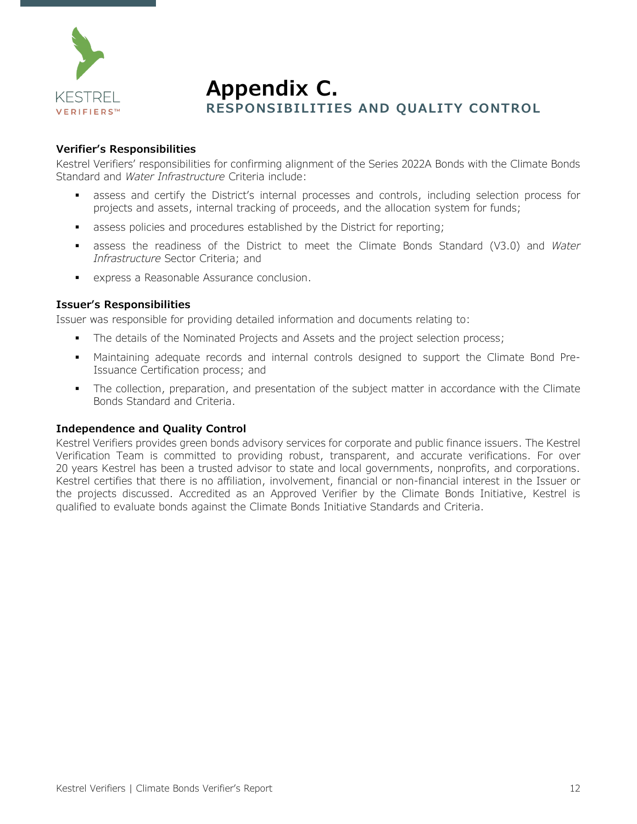

# **Appendix C. RESPONSIBILITIES AND QUALITY CONTROL**

#### **Verifier's Responsibilities**

Kestrel Verifiers' responsibilities for confirming alignment of the Series 2022A Bonds with the Climate Bonds Standard and *Water Infrastructure* Criteria include:

- assess and certify the District's internal processes and controls, including selection process for projects and assets, internal tracking of proceeds, and the allocation system for funds;
- **assess policies and procedures established by the District for reporting;**
- assess the readiness of the District to meet the Climate Bonds Standard (V3.0) and *Water Infrastructure* Sector Criteria; and
- express a Reasonable Assurance conclusion.

#### **Issuer's Responsibilities**

Issuer was responsible for providing detailed information and documents relating to:

- The details of the Nominated Projects and Assets and the project selection process;
- Maintaining adequate records and internal controls designed to support the Climate Bond Pre-Issuance Certification process; and
- The collection, preparation, and presentation of the subject matter in accordance with the Climate Bonds Standard and Criteria.

#### **Independence and Quality Control**

Kestrel Verifiers provides green bonds advisory services for corporate and public finance issuers. The Kestrel Verification Team is committed to providing robust, transparent, and accurate verifications. For over 20 years Kestrel has been a trusted advisor to state and local governments, nonprofits, and corporations. Kestrel certifies that there is no affiliation, involvement, financial or non-financial interest in the Issuer or the projects discussed. Accredited as an Approved Verifier by the Climate Bonds Initiative, Kestrel is qualified to evaluate bonds against the Climate Bonds Initiative Standards and Criteria.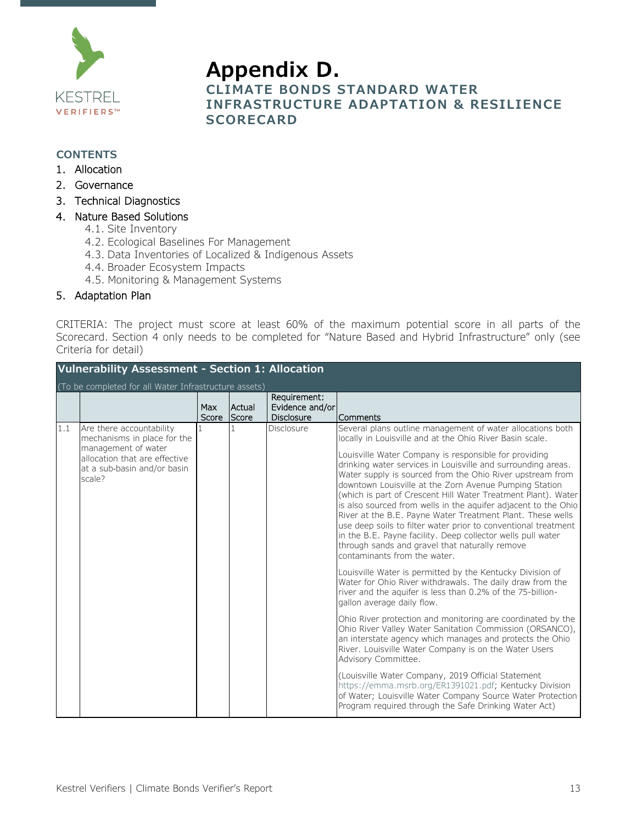

### **Appendix D. CLIMATE BONDS STANDARD WATER INFRASTRUCTURE ADAPTATION & RESILIENCE SCORECARD**

#### **CONTENTS**

- 1. [Allocation](#page-14-0)
- 2. [Governance](#page-18-0)
- 3. [Technical Diagnostics](#page-21-0)

#### 4. [Nature Based Solutions](#page-24-0)

- 4.1. [Site Inventory](#page-24-1)
- 4.2. [Ecological Baselines For Management](#page-25-0)
- 4.3. [Data Inventories of Localized & Indigenous Assets](#page-27-0)
- 4.4. [Broader Ecosystem Impacts](#page-27-1)
- 4.5. [Monitoring & Management Systems](#page-29-0)

#### 5. [Adaptation Plan](#page-30-0)

CRITERIA: The project must score at least 60% of the maximum potential score in all parts of the Scorecard. Section 4 only needs to be completed for "Nature Based and Hybrid Infrastructure" only (see Criteria for detail)

<span id="page-14-0"></span>

| <b>Vulnerability Assessment - Section 1: Allocation</b> |                                                                                                                                                          |              |                 |                                                      |                                                                                                                                                                                                                                                                                                                                                                                                                                                                                                                                                                                                                                                                                                                                                                                                                                                                                                                                                                                                                                                                                                                                                                                                                                                                                                                                                                                                                                                                                                                                |  |  |
|---------------------------------------------------------|----------------------------------------------------------------------------------------------------------------------------------------------------------|--------------|-----------------|------------------------------------------------------|--------------------------------------------------------------------------------------------------------------------------------------------------------------------------------------------------------------------------------------------------------------------------------------------------------------------------------------------------------------------------------------------------------------------------------------------------------------------------------------------------------------------------------------------------------------------------------------------------------------------------------------------------------------------------------------------------------------------------------------------------------------------------------------------------------------------------------------------------------------------------------------------------------------------------------------------------------------------------------------------------------------------------------------------------------------------------------------------------------------------------------------------------------------------------------------------------------------------------------------------------------------------------------------------------------------------------------------------------------------------------------------------------------------------------------------------------------------------------------------------------------------------------------|--|--|
|                                                         | (To be completed for all Water Infrastructure assets)                                                                                                    |              |                 |                                                      |                                                                                                                                                                                                                                                                                                                                                                                                                                                                                                                                                                                                                                                                                                                                                                                                                                                                                                                                                                                                                                                                                                                                                                                                                                                                                                                                                                                                                                                                                                                                |  |  |
|                                                         |                                                                                                                                                          | Max<br>Score | Actual<br>Score | Requirement:<br>Evidence and/or<br><b>Disclosure</b> | Comments                                                                                                                                                                                                                                                                                                                                                                                                                                                                                                                                                                                                                                                                                                                                                                                                                                                                                                                                                                                                                                                                                                                                                                                                                                                                                                                                                                                                                                                                                                                       |  |  |
| 1.1                                                     | Are there accountability<br>mechanisms in place for the<br>management of water<br>allocation that are effective<br>at a sub-basin and/or basin<br>scale? |              |                 | Disclosure                                           | Several plans outline management of water allocations both<br>locally in Louisville and at the Ohio River Basin scale.<br>Louisville Water Company is responsible for providing<br>drinking water services in Louisville and surrounding areas.<br>Water supply is sourced from the Ohio River upstream from<br>downtown Louisville at the Zorn Avenue Pumping Station<br>(which is part of Crescent Hill Water Treatment Plant). Water<br>is also sourced from wells in the aquifer adjacent to the Ohio<br>River at the B.E. Payne Water Treatment Plant. These wells<br>use deep soils to filter water prior to conventional treatment<br>in the B.E. Payne facility. Deep collector wells pull water<br>through sands and gravel that naturally remove<br>contaminants from the water.<br>Louisville Water is permitted by the Kentucky Division of<br>Water for Ohio River withdrawals. The daily draw from the<br>river and the aquifer is less than 0.2% of the 75-billion-<br>gallon average daily flow.<br>Ohio River protection and monitoring are coordinated by the<br>Ohio River Valley Water Sanitation Commission (ORSANCO),<br>an interstate agency which manages and protects the Ohio<br>River. Louisville Water Company is on the Water Users<br>Advisory Committee.<br>(Louisville Water Company, 2019 Official Statement<br>https://emma.msrb.org/ER1391021.pdf; Kentucky Division<br>of Water; Louisville Water Company Source Water Protection<br>Program required through the Safe Drinking Water Act) |  |  |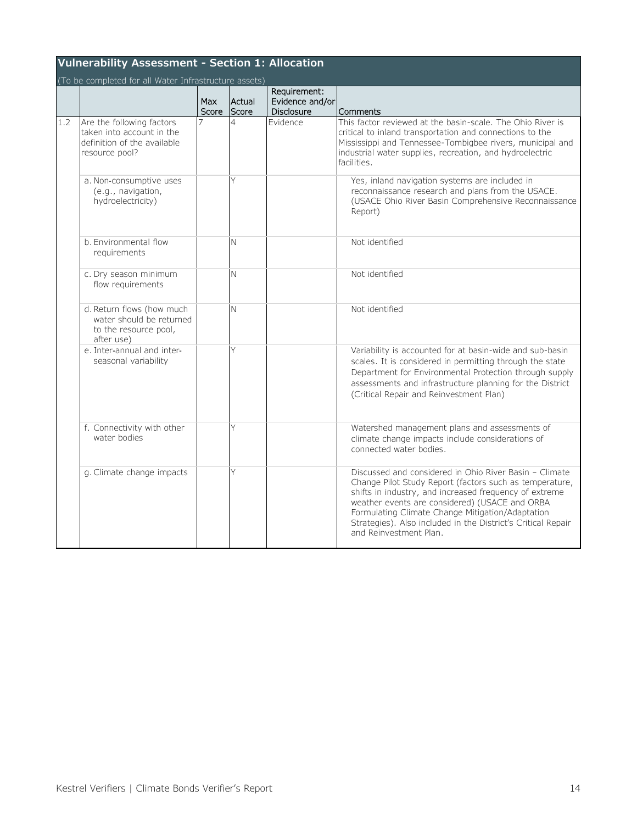|     | <b>Vulnerability Assessment - Section 1: Allocation</b><br>(To be completed for all Water Infrastructure assets) |              |                 |                                                      |                                                                                                                                                                                                                                                                                                                                                                             |  |  |  |
|-----|------------------------------------------------------------------------------------------------------------------|--------------|-----------------|------------------------------------------------------|-----------------------------------------------------------------------------------------------------------------------------------------------------------------------------------------------------------------------------------------------------------------------------------------------------------------------------------------------------------------------------|--|--|--|
|     |                                                                                                                  | Max<br>Score | Actual<br>Score | Requirement:<br>Evidence and/or<br><b>Disclosure</b> | Comments                                                                                                                                                                                                                                                                                                                                                                    |  |  |  |
| 1.2 | Are the following factors<br>taken into account in the<br>definition of the available<br>resource pool?          |              | $\overline{a}$  | <b>Fvidence</b>                                      | This factor reviewed at the basin-scale. The Ohio River is<br>critical to inland transportation and connections to the<br>Mississippi and Tennessee-Tombigbee rivers, municipal and<br>industrial water supplies, recreation, and hydroelectric<br>facilities.                                                                                                              |  |  |  |
|     | a. Non-consumptive uses<br>(e.g., navigation,<br>hydroelectricity)                                               |              | Υ               |                                                      | Yes, inland navigation systems are included in<br>reconnaissance research and plans from the USACE.<br>(USACE Ohio River Basin Comprehensive Reconnaissance<br>Report)                                                                                                                                                                                                      |  |  |  |
|     | b. Environmental flow<br>requirements                                                                            |              | N               |                                                      | Not identified                                                                                                                                                                                                                                                                                                                                                              |  |  |  |
|     | c. Dry season minimum<br>flow requirements                                                                       |              | N               |                                                      | Not identified                                                                                                                                                                                                                                                                                                                                                              |  |  |  |
|     | d. Return flows (how much<br>water should be returned<br>to the resource pool,<br>after use)                     |              | N               |                                                      | Not identified                                                                                                                                                                                                                                                                                                                                                              |  |  |  |
|     | e. Inter-annual and inter-<br>seasonal variability                                                               |              | Υ               |                                                      | Variability is accounted for at basin-wide and sub-basin<br>scales. It is considered in permitting through the state<br>Department for Environmental Protection through supply<br>assessments and infrastructure planning for the District<br>(Critical Repair and Reinvestment Plan)                                                                                       |  |  |  |
|     | f. Connectivity with other<br>water bodies                                                                       |              | Y               |                                                      | Watershed management plans and assessments of<br>climate change impacts include considerations of<br>connected water bodies.                                                                                                                                                                                                                                                |  |  |  |
|     | g. Climate change impacts                                                                                        |              | Υ               |                                                      | Discussed and considered in Ohio River Basin - Climate<br>Change Pilot Study Report (factors such as temperature,<br>shifts in industry, and increased frequency of extreme<br>weather events are considered) (USACE and ORBA<br>Formulating Climate Change Mitigation/Adaptation<br>Strategies). Also included in the District's Critical Repair<br>and Reinvestment Plan. |  |  |  |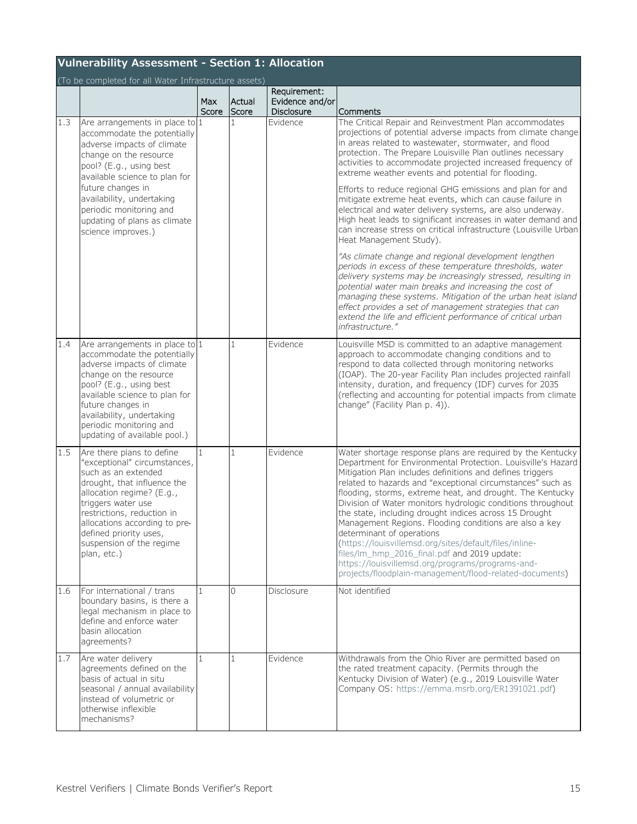| <b>Vulnerability Assessment - Section 1: Allocation</b> |                                                                                                                                                                                                                                                                                                                      |              |                 |                                                      |                                                                                                                                                                                                                                                                                                                                                                                                                                                                                                                                                                                                                                                                                                                                                                                                                                                                                                                                                                                                                                                                                                                                                                                  |  |  |
|---------------------------------------------------------|----------------------------------------------------------------------------------------------------------------------------------------------------------------------------------------------------------------------------------------------------------------------------------------------------------------------|--------------|-----------------|------------------------------------------------------|----------------------------------------------------------------------------------------------------------------------------------------------------------------------------------------------------------------------------------------------------------------------------------------------------------------------------------------------------------------------------------------------------------------------------------------------------------------------------------------------------------------------------------------------------------------------------------------------------------------------------------------------------------------------------------------------------------------------------------------------------------------------------------------------------------------------------------------------------------------------------------------------------------------------------------------------------------------------------------------------------------------------------------------------------------------------------------------------------------------------------------------------------------------------------------|--|--|
|                                                         | (To be completed for all Water Infrastructure assets)                                                                                                                                                                                                                                                                |              |                 |                                                      |                                                                                                                                                                                                                                                                                                                                                                                                                                                                                                                                                                                                                                                                                                                                                                                                                                                                                                                                                                                                                                                                                                                                                                                  |  |  |
|                                                         |                                                                                                                                                                                                                                                                                                                      | Max<br>Score | Actual<br>Score | Requirement:<br>Evidence and/or<br><b>Disclosure</b> | Comments                                                                                                                                                                                                                                                                                                                                                                                                                                                                                                                                                                                                                                                                                                                                                                                                                                                                                                                                                                                                                                                                                                                                                                         |  |  |
| 1.3                                                     | Are arrangements in place to 1<br>accommodate the potentially<br>adverse impacts of climate<br>change on the resource<br>pool? (E.g., using best<br>available science to plan for<br>future changes in<br>availability, undertaking<br>periodic monitoring and<br>updating of plans as climate<br>science improves.) |              | 1               | Evidence                                             | The Critical Repair and Reinvestment Plan accommodates<br>projections of potential adverse impacts from climate change<br>in areas related to wastewater, stormwater, and flood<br>protection. The Prepare Louisville Plan outlines necessary<br>activities to accommodate projected increased frequency of<br>extreme weather events and potential for flooding.<br>Efforts to reduce regional GHG emissions and plan for and<br>mitigate extreme heat events, which can cause failure in<br>electrical and water delivery systems, are also underway.<br>High heat leads to significant increases in water demand and<br>can increase stress on critical infrastructure (Louisville Urban<br>Heat Management Study).<br>"As climate change and regional development lengthen<br>periods in excess of these temperature thresholds, water<br>delivery systems may be increasingly stressed, resulting in<br>potential water main breaks and increasing the cost of<br>managing these systems. Mitigation of the urban heat island<br>effect provides a set of management strategies that can<br>extend the life and efficient performance of critical urban<br>infrastructure." |  |  |
| 1.4                                                     | Are arrangements in place to 1<br>accommodate the potentially<br>adverse impacts of climate<br>change on the resource<br>pool? (E.g., using best<br>available science to plan for<br>future changes in<br>availability, undertaking<br>periodic monitoring and<br>updating of available pool.)                       |              | 1               | Evidence                                             | Louisville MSD is committed to an adaptive management<br>approach to accommodate changing conditions and to<br>respond to data collected through monitoring networks<br>(IOAP). The 20-year Facility Plan includes projected rainfall<br>intensity, duration, and frequency (IDF) curves for 2035<br>(reflecting and accounting for potential impacts from climate<br>change" (Facility Plan p. 4)).                                                                                                                                                                                                                                                                                                                                                                                                                                                                                                                                                                                                                                                                                                                                                                             |  |  |
| 1.5                                                     | Are there plans to define<br>"exceptional" circumstances,<br>such as an extended<br>drought, that influence the<br>allocation regime? (E.g.,<br>triggers water use<br>restrictions, reduction in<br>allocations according to pre-<br>defined priority uses,<br>suspension of the regime<br>plan, etc.)               |              | 1               | Evidence                                             | Water shortage response plans are required by the Kentucky<br>Department for Environmental Protection. Louisville's Hazard<br>Mitigation Plan includes definitions and defines triggers<br>related to hazards and "exceptional circumstances" such as<br>flooding, storms, extreme heat, and drought. The Kentucky<br>Division of Water monitors hydrologic conditions throughout<br>the state, including drought indices across 15 Drought<br>Management Regions. Flooding conditions are also a key<br>determinant of operations<br>(https://louisvillemsd.org/sites/default/files/inline-<br>files/lm_hmp_2016_final.pdf and 2019 update:<br>https://louisvillemsd.org/programs/programs-and-<br>projects/floodplain-management/flood-related-documents)                                                                                                                                                                                                                                                                                                                                                                                                                      |  |  |
| 1.6                                                     | For international / trans<br>boundary basins, is there a<br>legal mechanism in place to<br>define and enforce water<br>basin allocation<br>agreements?                                                                                                                                                               | $\mathbf{1}$ | $\Omega$        | <b>Disclosure</b>                                    | Not identified                                                                                                                                                                                                                                                                                                                                                                                                                                                                                                                                                                                                                                                                                                                                                                                                                                                                                                                                                                                                                                                                                                                                                                   |  |  |
| $\overline{1}.7$                                        | Are water delivery<br>agreements defined on the<br>basis of actual in situ<br>seasonal / annual availability<br>instead of volumetric or<br>otherwise inflexible<br>mechanisms?                                                                                                                                      |              | 1               | Evidence                                             | Withdrawals from the Ohio River are permitted based on<br>the rated treatment capacity. (Permits through the<br>Kentucky Division of Water) (e.g., 2019 Louisville Water<br>Company OS: https://emma.msrb.org/ER1391021.pdf)                                                                                                                                                                                                                                                                                                                                                                                                                                                                                                                                                                                                                                                                                                                                                                                                                                                                                                                                                     |  |  |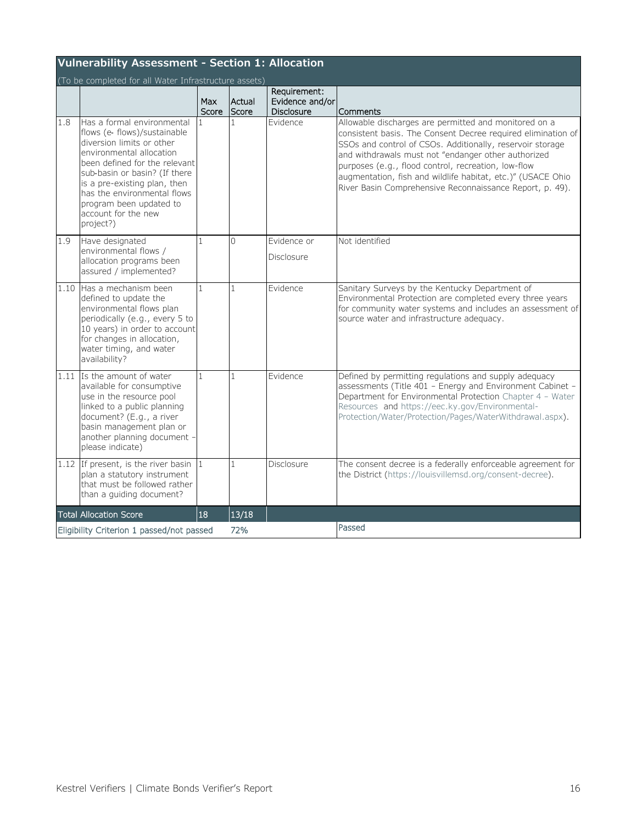|     | <b>Vulnerability Assessment - Section 1: Allocation</b>                                                                                                                                                                                                                                                             |                     |                 |                                                      |                                                                                                                                                                                                                                                                                                                                                                                                                             |  |  |  |  |
|-----|---------------------------------------------------------------------------------------------------------------------------------------------------------------------------------------------------------------------------------------------------------------------------------------------------------------------|---------------------|-----------------|------------------------------------------------------|-----------------------------------------------------------------------------------------------------------------------------------------------------------------------------------------------------------------------------------------------------------------------------------------------------------------------------------------------------------------------------------------------------------------------------|--|--|--|--|
|     | (To be completed for all Water Infrastructure assets)                                                                                                                                                                                                                                                               |                     |                 |                                                      |                                                                                                                                                                                                                                                                                                                                                                                                                             |  |  |  |  |
|     |                                                                                                                                                                                                                                                                                                                     | <b>Max</b><br>Score | Actual<br>Score | Requirement:<br>Evidence and/or<br><b>Disclosure</b> | Comments                                                                                                                                                                                                                                                                                                                                                                                                                    |  |  |  |  |
| 1.8 | Has a formal environmental<br>flows (e- flows)/sustainable<br>diversion limits or other<br>environmental allocation<br>been defined for the relevant<br>sub-basin or basin? (If there<br>is a pre-existing plan, then<br>has the environmental flows<br>program been updated to<br>account for the new<br>project?) |                     | 1               | Evidence                                             | Allowable discharges are permitted and monitored on a<br>consistent basis. The Consent Decree required elimination of<br>SSOs and control of CSOs. Additionally, reservoir storage<br>and withdrawals must not "endanger other authorized<br>purposes (e.g., flood control, recreation, low-flow<br>augmentation, fish and wildlife habitat, etc.)" (USACE Ohio<br>River Basin Comprehensive Reconnaissance Report, p. 49). |  |  |  |  |
| 1.9 | Have designated<br>environmental flows /<br>allocation programs been<br>assured / implemented?                                                                                                                                                                                                                      | 1                   | $\Omega$        | Evidence or<br>Disclosure                            | Not identified                                                                                                                                                                                                                                                                                                                                                                                                              |  |  |  |  |
|     | 1.10 Has a mechanism been<br>defined to update the<br>environmental flows plan<br>periodically (e.g., every 5 to<br>10 years) in order to account<br>for changes in allocation,<br>water timing, and water<br>availability?                                                                                         | 1                   | $\mathbf{1}$    | Evidence                                             | Sanitary Surveys by the Kentucky Department of<br>Environmental Protection are completed every three years<br>for community water systems and includes an assessment of<br>source water and infrastructure adequacy.                                                                                                                                                                                                        |  |  |  |  |
|     | 1.11 Is the amount of water<br>available for consumptive<br>use in the resource pool<br>linked to a public planning<br>document? (E.g., a river<br>basin management plan or<br>another planning document -<br>please indicate)                                                                                      | $\mathbf{1}$        | $\mathbf{1}$    | Evidence                                             | Defined by permitting regulations and supply adequacy<br>assessments (Title 401 - Energy and Environment Cabinet -<br>Department for Environmental Protection Chapter 4 - Water<br>Resources and https://eec.ky.gov/Environmental-<br>Protection/Water/Protection/Pages/WaterWithdrawal.aspx).                                                                                                                              |  |  |  |  |
|     | 1.12 If present, is the river basin $\vert$ 1<br>plan a statutory instrument<br>that must be followed rather<br>than a guiding document?                                                                                                                                                                            |                     | $\mathbf{1}$    | Disclosure                                           | The consent decree is a federally enforceable agreement for<br>the District (https://louisvillemsd.org/consent-decree).                                                                                                                                                                                                                                                                                                     |  |  |  |  |
|     | <b>Total Allocation Score</b>                                                                                                                                                                                                                                                                                       | 18                  | 13/18           |                                                      |                                                                                                                                                                                                                                                                                                                                                                                                                             |  |  |  |  |
|     | Eligibility Criterion 1 passed/not passed                                                                                                                                                                                                                                                                           |                     | 72%             |                                                      | Passed                                                                                                                                                                                                                                                                                                                                                                                                                      |  |  |  |  |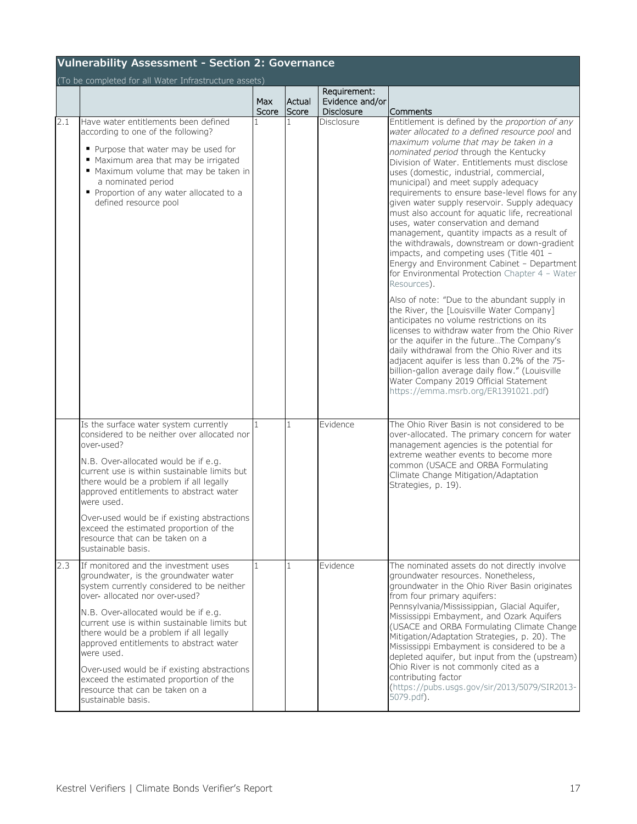<span id="page-18-0"></span>

|     | <b>Vulnerability Assessment - Section 2: Governance</b>                                                                                                                                                                                                                                                                                                                                                                                                                                                    |                     |                 |                                               |                                                                                                                                                                                                                                                                                                                                                                                                                                                                                                                                                                                                                                                                                                                                                                                                                                                                                                                                                                                                                                                                                                                                                                                                                                                                |  |  |  |  |
|-----|------------------------------------------------------------------------------------------------------------------------------------------------------------------------------------------------------------------------------------------------------------------------------------------------------------------------------------------------------------------------------------------------------------------------------------------------------------------------------------------------------------|---------------------|-----------------|-----------------------------------------------|----------------------------------------------------------------------------------------------------------------------------------------------------------------------------------------------------------------------------------------------------------------------------------------------------------------------------------------------------------------------------------------------------------------------------------------------------------------------------------------------------------------------------------------------------------------------------------------------------------------------------------------------------------------------------------------------------------------------------------------------------------------------------------------------------------------------------------------------------------------------------------------------------------------------------------------------------------------------------------------------------------------------------------------------------------------------------------------------------------------------------------------------------------------------------------------------------------------------------------------------------------------|--|--|--|--|
|     | (To be completed for all Water Infrastructure assets)                                                                                                                                                                                                                                                                                                                                                                                                                                                      | <b>Max</b><br>Score | Actual<br>Score | Requirement:<br>Evidence and/or<br>Disclosure | Comments                                                                                                                                                                                                                                                                                                                                                                                                                                                                                                                                                                                                                                                                                                                                                                                                                                                                                                                                                                                                                                                                                                                                                                                                                                                       |  |  |  |  |
| 2.1 | Have water entitlements been defined<br>according to one of the following?<br>• Purpose that water may be used for<br>" Maximum area that may be irrigated<br>" Maximum volume that may be taken in<br>a nominated period<br>Proportion of any water allocated to a<br>defined resource pool                                                                                                                                                                                                               |                     | $\mathbf{1}$    | Disclosure                                    | Entitlement is defined by the proportion of any<br>water allocated to a defined resource pool and<br>maximum volume that may be taken in a<br>nominated period through the Kentucky<br>Division of Water. Entitlements must disclose<br>uses (domestic, industrial, commercial,<br>municipal) and meet supply adequacy<br>requirements to ensure base-level flows for any<br>given water supply reservoir. Supply adequacy<br>must also account for aquatic life, recreational<br>uses, water conservation and demand<br>management, quantity impacts as a result of<br>the withdrawals, downstream or down-gradient<br>impacts, and competing uses (Title 401 -<br>Energy and Environment Cabinet - Department<br>for Environmental Protection Chapter 4 - Water<br>Resources).<br>Also of note: "Due to the abundant supply in<br>the River, the [Louisville Water Company]<br>anticipates no volume restrictions on its<br>licenses to withdraw water from the Ohio River<br>or the aquifer in the futureThe Company's<br>daily withdrawal from the Ohio River and its<br>adjacent aquifer is less than 0.2% of the 75-<br>billion-gallon average daily flow." (Louisville<br>Water Company 2019 Official Statement<br>https://emma.msrb.org/ER1391021.pdf) |  |  |  |  |
|     | Is the surface water system currently<br>considered to be neither over allocated nor<br>over-used?<br>N.B. Over-allocated would be if e.g.<br>current use is within sustainable limits but<br>there would be a problem if all legally<br>approved entitlements to abstract water<br>were used.<br>Over-used would be if existing abstractions<br>exceed the estimated proportion of the<br>resource that can be taken on a<br>sustainable basis.                                                           |                     | $\mathbf{1}$    | Evidence                                      | The Ohio River Basin is not considered to be<br>over-allocated. The primary concern for water<br>management agencies is the potential for<br>extreme weather events to become more<br>common (USACE and ORBA Formulating<br>Climate Change Mitigation/Adaptation<br>Strategies, p. 19).                                                                                                                                                                                                                                                                                                                                                                                                                                                                                                                                                                                                                                                                                                                                                                                                                                                                                                                                                                        |  |  |  |  |
| 2.3 | If monitored and the investment uses<br>groundwater, is the groundwater water<br>system currently considered to be neither<br>over- allocated nor over-used?<br>N.B. Over-allocated would be if e.g.<br>current use is within sustainable limits but<br>there would be a problem if all legally<br>approved entitlements to abstract water<br>were used.<br>Over-used would be if existing abstractions<br>exceed the estimated proportion of the<br>resource that can be taken on a<br>sustainable basis. |                     | $\mathbf{1}$    | Evidence                                      | The nominated assets do not directly involve<br>groundwater resources. Nonetheless,<br>groundwater in the Ohio River Basin originates<br>from four primary aquifers:<br>Pennsylvania/Mississippian, Glacial Aquifer,<br>Mississippi Embayment, and Ozark Aquifers<br>(USACE and ORBA Formulating Climate Change)<br>Mitigation/Adaptation Strategies, p. 20). The<br>Mississippi Embayment is considered to be a<br>depleted aquifer, but input from the (upstream)<br>Ohio River is not commonly cited as a<br>contributing factor<br>(https://pubs.usgs.gov/sir/2013/5079/SIR2013-<br>5079.pdf).                                                                                                                                                                                                                                                                                                                                                                                                                                                                                                                                                                                                                                                             |  |  |  |  |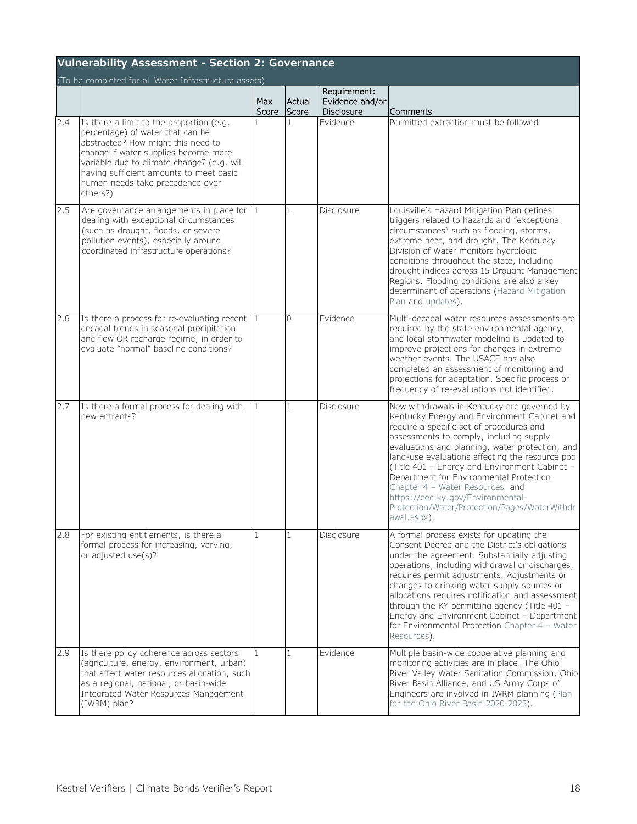|     | <b>Vulnerability Assessment - Section 2: Governance</b>                                                                                                                                                                                                                                             |              |                 |                                               |                                                                                                                                                                                                                                                                                                                                                                                                                                                                                                                              |  |  |  |
|-----|-----------------------------------------------------------------------------------------------------------------------------------------------------------------------------------------------------------------------------------------------------------------------------------------------------|--------------|-----------------|-----------------------------------------------|------------------------------------------------------------------------------------------------------------------------------------------------------------------------------------------------------------------------------------------------------------------------------------------------------------------------------------------------------------------------------------------------------------------------------------------------------------------------------------------------------------------------------|--|--|--|
|     | (To be completed for all Water Infrastructure assets)                                                                                                                                                                                                                                               | Max<br>Score | Actual<br>Score | Requirement:<br>Evidence and/or<br>Disclosure | Comments                                                                                                                                                                                                                                                                                                                                                                                                                                                                                                                     |  |  |  |
| 2.4 | Is there a limit to the proportion (e.g.<br>percentage) of water that can be<br>abstracted? How might this need to<br>change if water supplies become more<br>variable due to climate change? (e.g. will<br>having sufficient amounts to meet basic<br>human needs take precedence over<br>others?) |              | 1               | Evidence                                      | Permitted extraction must be followed                                                                                                                                                                                                                                                                                                                                                                                                                                                                                        |  |  |  |
| 2.5 | Are governance arrangements in place for $ 1 $<br>dealing with exceptional circumstances<br>(such as drought, floods, or severe<br>pollution events), especially around<br>coordinated infrastructure operations?                                                                                   |              | $\mathbf{1}$    | Disclosure                                    | Louisville's Hazard Mitigation Plan defines<br>triggers related to hazards and "exceptional<br>circumstances" such as flooding, storms,<br>extreme heat, and drought. The Kentucky<br>Division of Water monitors hydrologic<br>conditions throughout the state, including<br>drought indices across 15 Drought Management<br>Regions. Flooding conditions are also a key<br>determinant of operations (Hazard Mitigation<br>Plan and updates).                                                                               |  |  |  |
| 2.6 | Is there a process for re-evaluating recent $ 1 $<br>decadal trends in seasonal precipitation<br>and flow OR recharge regime, in order to<br>evaluate "normal" baseline conditions?                                                                                                                 |              | $\Omega$        | Evidence                                      | Multi-decadal water resources assessments are<br>required by the state environmental agency,<br>and local stormwater modeling is updated to<br>improve projections for changes in extreme<br>weather events. The USACE has also<br>completed an assessment of monitoring and<br>projections for adaptation. Specific process or<br>frequency of re-evaluations not identified.                                                                                                                                               |  |  |  |
| 2.7 | Is there a formal process for dealing with<br>new entrants?                                                                                                                                                                                                                                         | $\mathbf{1}$ | 1               | Disclosure                                    | New withdrawals in Kentucky are governed by<br>Kentucky Energy and Environment Cabinet and<br>require a specific set of procedures and<br>assessments to comply, including supply<br>evaluations and planning, water protection, and<br>land-use evaluations affecting the resource pool<br>(Title 401 - Energy and Environment Cabinet -<br>Department for Environmental Protection<br>Chapter 4 - Water Resources and<br>https://eec.ky.gov/Environmental-<br>Protection/Water/Protection/Pages/WaterWithdr<br>awal.aspx). |  |  |  |
| 2.8 | For existing entitlements, is there a<br>formal process for increasing, varying,<br>or adjusted use(s)?                                                                                                                                                                                             |              |                 | Disclosure                                    | A formal process exists for updating the<br>Consent Decree and the District's obligations<br>under the agreement. Substantially adjusting<br>operations, including withdrawal or discharges,<br>requires permit adjustments. Adjustments or<br>changes to drinking water supply sources or<br>allocations requires notification and assessment<br>through the KY permitting agency (Title 401 -<br>Energy and Environment Cabinet - Department<br>for Environmental Protection Chapter 4 - Water<br>Resources).              |  |  |  |
| 2.9 | Is there policy coherence across sectors<br>(agriculture, energy, environment, urban)<br>that affect water resources allocation, such<br>as a regional, national, or basin-wide<br>Integrated Water Resources Management<br>(IWRM) plan?                                                            |              | 1               | <b>Evidence</b>                               | Multiple basin-wide cooperative planning and<br>monitoring activities are in place. The Ohio<br>River Valley Water Sanitation Commission, Ohio<br>River Basin Alliance, and US Army Corps of<br>Engineers are involved in IWRM planning (Plan<br>for the Ohio River Basin 2020-2025).                                                                                                                                                                                                                                        |  |  |  |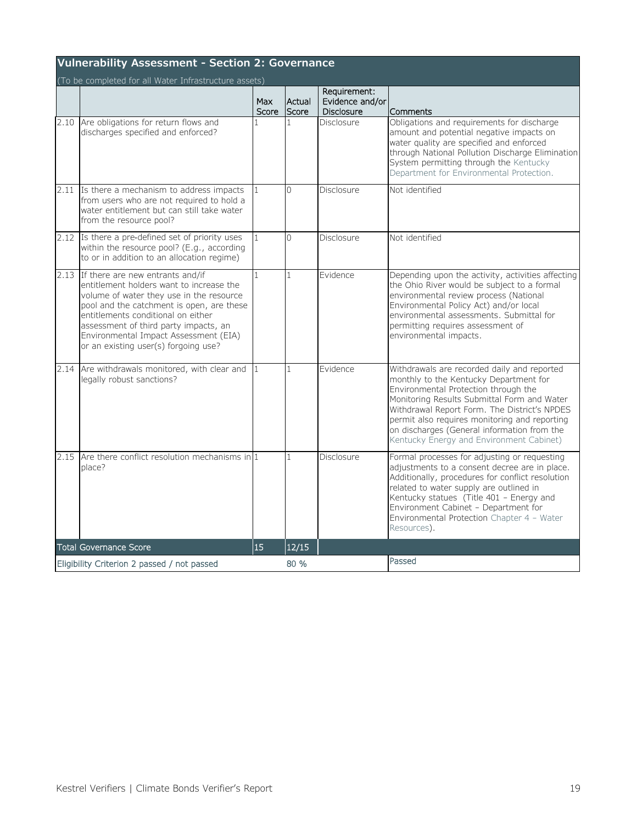|      | <b>Vulnerability Assessment - Section 2: Governance</b>                                                                                                                                                                                                                                                                               |                     |                 |                                                      |                                                                                                                                                                                                                                                                                                                                                                          |  |  |  |  |
|------|---------------------------------------------------------------------------------------------------------------------------------------------------------------------------------------------------------------------------------------------------------------------------------------------------------------------------------------|---------------------|-----------------|------------------------------------------------------|--------------------------------------------------------------------------------------------------------------------------------------------------------------------------------------------------------------------------------------------------------------------------------------------------------------------------------------------------------------------------|--|--|--|--|
|      | (To be completed for all Water Infrastructure assets)                                                                                                                                                                                                                                                                                 |                     |                 |                                                      |                                                                                                                                                                                                                                                                                                                                                                          |  |  |  |  |
|      |                                                                                                                                                                                                                                                                                                                                       | <b>Max</b><br>Score | Actual<br>Score | Requirement:<br>Evidence and/or<br><b>Disclosure</b> | Comments                                                                                                                                                                                                                                                                                                                                                                 |  |  |  |  |
| 2.10 | Are obligations for return flows and<br>discharges specified and enforced?                                                                                                                                                                                                                                                            |                     | $\mathbf{1}$    | Disclosure                                           | Obligations and requirements for discharge<br>amount and potential negative impacts on<br>water quality are specified and enforced<br>through National Pollution Discharge Elimination<br>System permitting through the Kentucky<br>Department for Environmental Protection.                                                                                             |  |  |  |  |
| 2.11 | Is there a mechanism to address impacts<br>from users who are not required to hold a<br>water entitlement but can still take water<br>from the resource pool?                                                                                                                                                                         |                     | $\Omega$        | Disclosure                                           | Not identified                                                                                                                                                                                                                                                                                                                                                           |  |  |  |  |
| 2.12 | Is there a pre-defined set of priority uses<br>within the resource pool? (E.g., according<br>to or in addition to an allocation regime)                                                                                                                                                                                               |                     | $\Omega$        | Disclosure                                           | Not identified                                                                                                                                                                                                                                                                                                                                                           |  |  |  |  |
| 2.13 | If there are new entrants and/if<br>entitlement holders want to increase the<br>volume of water they use in the resource<br>pool and the catchment is open, are these<br>entitlements conditional on either<br>assessment of third party impacts, an<br>Environmental Impact Assessment (EIA)<br>or an existing user(s) forgoing use? |                     | 1               | <b>Evidence</b>                                      | Depending upon the activity, activities affecting<br>the Ohio River would be subject to a formal<br>environmental review process (National<br>Environmental Policy Act) and/or local<br>environmental assessments. Submittal for<br>permitting requires assessment of<br>environmental impacts.                                                                          |  |  |  |  |
| 2.14 | Are withdrawals monitored, with clear and<br>legally robust sanctions?                                                                                                                                                                                                                                                                |                     | $\mathbf{1}$    | Evidence                                             | Withdrawals are recorded daily and reported<br>monthly to the Kentucky Department for<br>Environmental Protection through the<br>Monitoring Results Submittal Form and Water<br>Withdrawal Report Form. The District's NPDES<br>permit also requires monitoring and reporting<br>on discharges (General information from the<br>Kentucky Energy and Environment Cabinet) |  |  |  |  |
| 2.15 | Are there conflict resolution mechanisms in $1$<br>place?                                                                                                                                                                                                                                                                             |                     | 1               | Disclosure                                           | Formal processes for adjusting or requesting<br>adjustments to a consent decree are in place.<br>Additionally, procedures for conflict resolution<br>related to water supply are outlined in<br>Kentucky statues (Title 401 - Energy and<br>Environment Cabinet - Department for<br>Environmental Protection Chapter 4 - Water<br>Resources).                            |  |  |  |  |
|      | <b>Total Governance Score</b>                                                                                                                                                                                                                                                                                                         | 15                  | 12/15           |                                                      |                                                                                                                                                                                                                                                                                                                                                                          |  |  |  |  |
|      | Eligibility Criterion 2 passed / not passed                                                                                                                                                                                                                                                                                           |                     | 80 %            |                                                      | Passed                                                                                                                                                                                                                                                                                                                                                                   |  |  |  |  |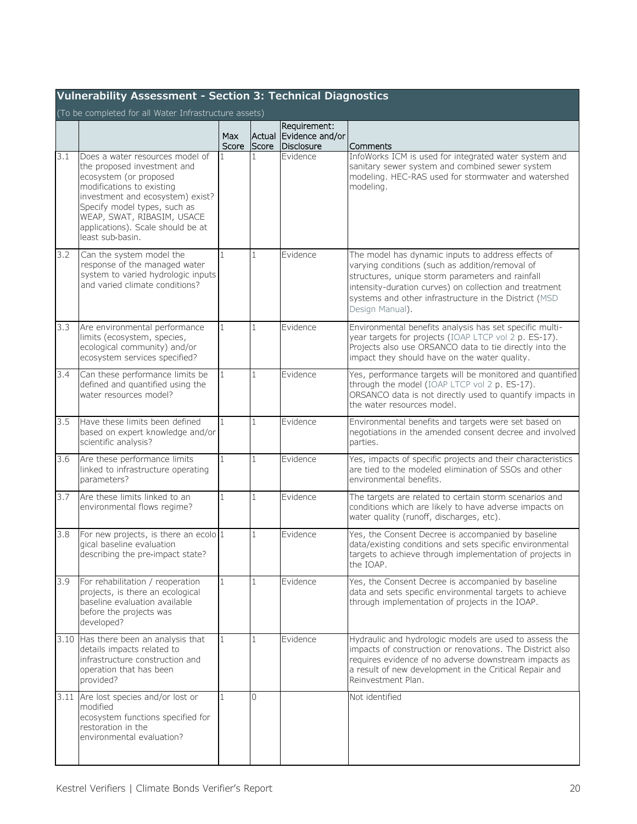<span id="page-21-0"></span>

|     | Vulnerability Assessment - Section 3: Technical Diagnostics                                                                                                                                                                                                                      |              |                 |                                               |                                                                                                                                                                                                                                                                                                 |  |  |  |  |
|-----|----------------------------------------------------------------------------------------------------------------------------------------------------------------------------------------------------------------------------------------------------------------------------------|--------------|-----------------|-----------------------------------------------|-------------------------------------------------------------------------------------------------------------------------------------------------------------------------------------------------------------------------------------------------------------------------------------------------|--|--|--|--|
|     | (To be completed for all Water Infrastructure assets)                                                                                                                                                                                                                            | Max<br>Score | Actual<br>Score | Requirement:<br>Evidence and/or<br>Disclosure | Comments                                                                                                                                                                                                                                                                                        |  |  |  |  |
| 3.1 | Does a water resources model of<br>the proposed investment and<br>ecosystem (or proposed<br>modifications to existing<br>investment and ecosystem) exist?<br>Specify model types, such as<br>WEAP, SWAT, RIBASIM, USACE<br>applications). Scale should be at<br>least sub-basin. |              | 1               | Evidence                                      | InfoWorks ICM is used for integrated water system and<br>sanitary sewer system and combined sewer system<br>modeling. HEC-RAS used for stormwater and watershed<br>modeling.                                                                                                                    |  |  |  |  |
| 3.2 | Can the system model the<br>response of the managed water<br>system to varied hydrologic inputs<br>and varied climate conditions?                                                                                                                                                | $\mathbf{1}$ | $\mathbf{1}$    | Evidence                                      | The model has dynamic inputs to address effects of<br>varying conditions (such as addition/removal of<br>structures, unique storm parameters and rainfall<br>intensity-duration curves) on collection and treatment<br>systems and other infrastructure in the District (MSD<br>Design Manual). |  |  |  |  |
| 3.3 | Are environmental performance<br>limits (ecosystem, species,<br>ecological community) and/or<br>ecosystem services specified?                                                                                                                                                    | 1            | 1               | Evidence                                      | Environmental benefits analysis has set specific multi-<br>year targets for projects (IOAP LTCP vol 2 p. ES-17).<br>Projects also use ORSANCO data to tie directly into the<br>impact they should have on the water quality.                                                                    |  |  |  |  |
| 3.4 | Can these performance limits be<br>defined and quantified using the<br>water resources model?                                                                                                                                                                                    | $\mathbf{1}$ | $\mathbf{1}$    | Evidence                                      | Yes, performance targets will be monitored and quantified<br>through the model (IOAP LTCP vol 2 p. ES-17).<br>ORSANCO data is not directly used to quantify impacts in<br>the water resources model.                                                                                            |  |  |  |  |
| 3.5 | Have these limits been defined<br>based on expert knowledge and/or<br>scientific analysis?                                                                                                                                                                                       | $\mathbf{1}$ | $\mathbf{1}$    | Evidence                                      | Environmental benefits and targets were set based on<br>negotiations in the amended consent decree and involved<br>parties.                                                                                                                                                                     |  |  |  |  |
| 3.6 | Are these performance limits<br>linked to infrastructure operating<br>parameters?                                                                                                                                                                                                | $\mathbf{1}$ | $\mathbf{1}$    | Evidence                                      | Yes, impacts of specific projects and their characteristics<br>are tied to the modeled elimination of SSOs and other<br>environmental benefits.                                                                                                                                                 |  |  |  |  |
| 3.7 | Are these limits linked to an<br>environmental flows regime?                                                                                                                                                                                                                     | 1            | $\mathbf{1}$    | Evidence                                      | The targets are related to certain storm scenarios and<br>conditions which are likely to have adverse impacts on<br>water quality (runoff, discharges, etc).                                                                                                                                    |  |  |  |  |
| 3.8 | For new projects, is there an ecolo $1$<br>gical baseline evaluation<br>describing the pre-impact state?                                                                                                                                                                         |              | 1               | Evidence                                      | Yes, the Consent Decree is accompanied by baseline<br>data/existing conditions and sets specific environmental<br>targets to achieve through implementation of projects in<br>the IOAP.                                                                                                         |  |  |  |  |
| 3.9 | For rehabilitation / reoperation<br>projects, is there an ecological<br>baseline evaluation available<br>before the projects was<br>developed?                                                                                                                                   | $\mathbf{1}$ | $\mathbf{1}$    | Evidence                                      | Yes, the Consent Decree is accompanied by baseline<br>data and sets specific environmental targets to achieve<br>through implementation of projects in the IOAP.                                                                                                                                |  |  |  |  |
|     | 3.10 Has there been an analysis that<br>details impacts related to<br>infrastructure construction and<br>operation that has been<br>provided?                                                                                                                                    | $\mathbf{1}$ | 1               | Evidence                                      | Hydraulic and hydrologic models are used to assess the<br>impacts of construction or renovations. The District also<br>requires evidence of no adverse downstream impacts as<br>a result of new development in the Critical Repair and<br>Reinvestment Plan.                                    |  |  |  |  |
|     | 3.11 Are lost species and/or lost or<br>modified<br>ecosystem functions specified for<br>restoration in the<br>environmental evaluation?                                                                                                                                         | $\mathbf{1}$ | $\Omega$        |                                               | Not identified                                                                                                                                                                                                                                                                                  |  |  |  |  |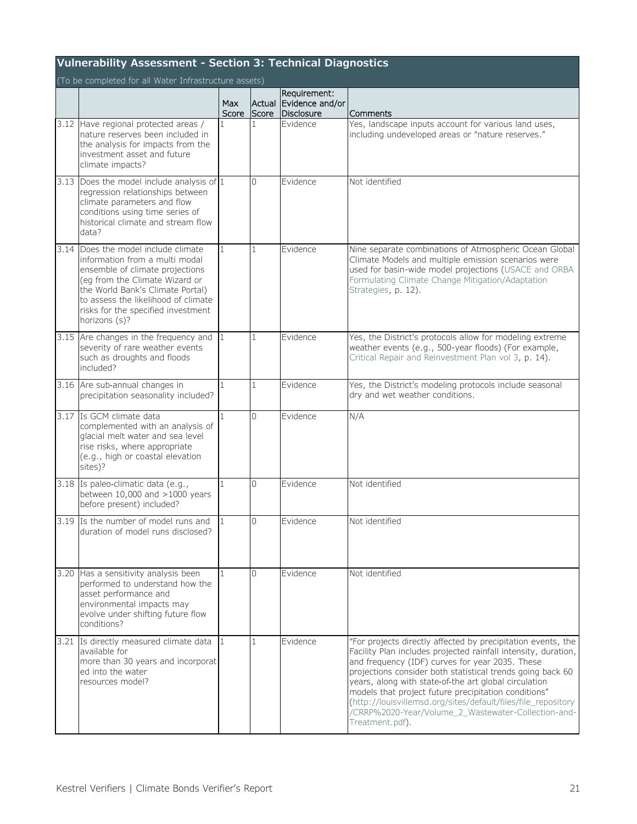| Vulnerability Assessment - Section 3: Technical Diagnostics<br>(To be completed for all Water Infrastructure assets) |                                                                                                                                                                                                                                                                              |              |                |                                                      |                                                                                                                                                                                                                                                                                                                                                                                                                                                                                                             |  |  |  |
|----------------------------------------------------------------------------------------------------------------------|------------------------------------------------------------------------------------------------------------------------------------------------------------------------------------------------------------------------------------------------------------------------------|--------------|----------------|------------------------------------------------------|-------------------------------------------------------------------------------------------------------------------------------------------------------------------------------------------------------------------------------------------------------------------------------------------------------------------------------------------------------------------------------------------------------------------------------------------------------------------------------------------------------------|--|--|--|
|                                                                                                                      |                                                                                                                                                                                                                                                                              | Max<br>Score | Score          | Requirement:<br>Actual Evidence and/or<br>Disclosure | Comments                                                                                                                                                                                                                                                                                                                                                                                                                                                                                                    |  |  |  |
|                                                                                                                      | 3.12 Have regional protected areas /<br>nature reserves been included in<br>the analysis for impacts from the<br>investment asset and future<br>climate impacts?                                                                                                             |              |                | <b>Evidence</b>                                      | Yes, landscape inputs account for various land uses,<br>including undeveloped areas or "nature reserves."                                                                                                                                                                                                                                                                                                                                                                                                   |  |  |  |
|                                                                                                                      | 3.13 Does the model include analysis of $1$<br>regression relationships between<br>climate parameters and flow<br>conditions using time series of<br>historical climate and stream flow<br>data?                                                                             |              | $\overline{0}$ | Evidence                                             | Not identified                                                                                                                                                                                                                                                                                                                                                                                                                                                                                              |  |  |  |
|                                                                                                                      | 3.14 Does the model include climate<br>information from a multi modal<br>ensemble of climate projections<br>(eq from the Climate Wizard or<br>the World Bank's Climate Portal)<br>to assess the likelihood of climate<br>risks for the specified investment<br>horizons (s)? | $\mathbf{1}$ | $\mathbf{1}$   | Evidence                                             | Nine separate combinations of Atmospheric Ocean Global<br>Climate Models and multiple emission scenarios were<br>used for basin-wide model projections (USACE and ORBA<br>Formulating Climate Change Mitigation/Adaptation<br>Strategies, p. 12).                                                                                                                                                                                                                                                           |  |  |  |
|                                                                                                                      | 3.15 Are changes in the frequency and<br>severity of rare weather events<br>such as droughts and floods<br>included?                                                                                                                                                         | $\vert$ 1    | $\vert$ 1      | Evidence                                             | Yes, the District's protocols allow for modeling extreme<br>weather events (e.g., 500-year floods) (For example,<br>Critical Repair and Reinvestment Plan vol 3, p. 14).                                                                                                                                                                                                                                                                                                                                    |  |  |  |
|                                                                                                                      | 3.16 Are sub-annual changes in<br>precipitation seasonality included?                                                                                                                                                                                                        | $\mathbf{1}$ | $\vert$ 1      | Evidence                                             | Yes, the District's modeling protocols include seasonal<br>dry and wet weather conditions.                                                                                                                                                                                                                                                                                                                                                                                                                  |  |  |  |
|                                                                                                                      | 3.17 Is GCM climate data<br>complemented with an analysis of<br>glacial melt water and sea level<br>rise risks, where appropriate<br>(e.g., high or coastal elevation<br>sites)?                                                                                             | $\mathbf{1}$ | $\overline{0}$ | Evidence                                             | N/A                                                                                                                                                                                                                                                                                                                                                                                                                                                                                                         |  |  |  |
|                                                                                                                      | 3.18 Is paleo-climatic data (e.g.,<br>between $10,000$ and $>1000$ years<br>before present) included?                                                                                                                                                                        | 1            | $\Omega$       | Evidence                                             | Not identified                                                                                                                                                                                                                                                                                                                                                                                                                                                                                              |  |  |  |
|                                                                                                                      | 3.19 Is the number of model runs and<br>duration of model runs disclosed?                                                                                                                                                                                                    |              | U              | Evidence                                             | Not identified                                                                                                                                                                                                                                                                                                                                                                                                                                                                                              |  |  |  |
|                                                                                                                      | 3.20 Has a sensitivity analysis been<br>performed to understand how the<br>asset performance and<br>environmental impacts may<br>evolve under shifting future flow<br>conditions?                                                                                            | $\mathbf{1}$ | $\overline{0}$ | Evidence                                             | Not identified                                                                                                                                                                                                                                                                                                                                                                                                                                                                                              |  |  |  |
|                                                                                                                      | 3.21 Is directly measured climate data<br>available for<br>more than 30 years and incorporat<br>ed into the water<br>resources model?                                                                                                                                        | $\mathbf{1}$ | $\vert$ 1      | Evidence                                             | "For projects directly affected by precipitation events, the<br>Facility Plan includes projected rainfall intensity, duration,<br>and frequency (IDF) curves for year 2035. These<br>projections consider both statistical trends going back 60<br>years, along with state-of-the art global circulation<br>models that project future precipitation conditions"<br>(http://louisvillemsd.org/sites/default/files/file_repository<br>/CRRP%2020-Year/Volume_2_Wastewater-Collection-and-<br>Treatment.pdf). |  |  |  |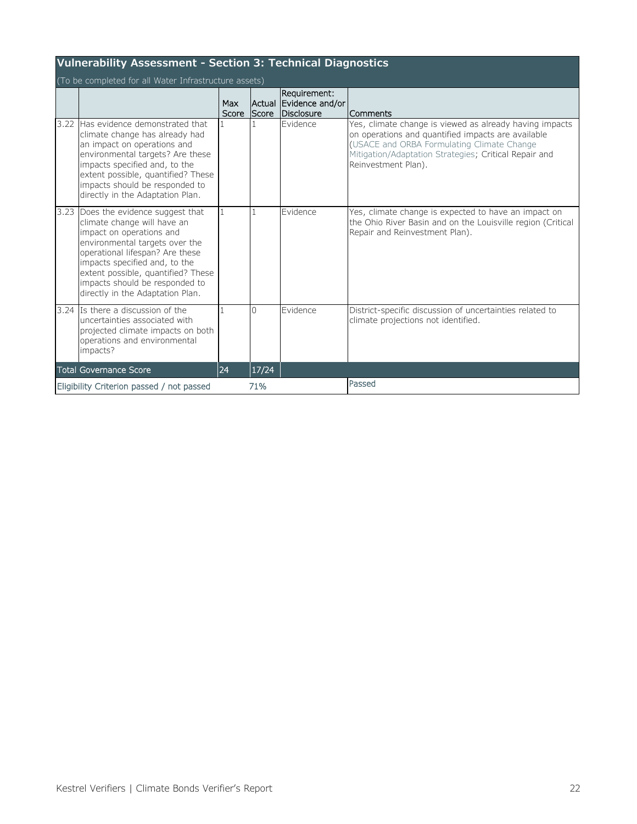|      | Vulnerability Assessment - Section 3: Technical Diagnostics                                                                                                                                                                                                                                                 |              |              |                                                      |                                                                                                                                                                                                                                             |  |  |  |  |  |
|------|-------------------------------------------------------------------------------------------------------------------------------------------------------------------------------------------------------------------------------------------------------------------------------------------------------------|--------------|--------------|------------------------------------------------------|---------------------------------------------------------------------------------------------------------------------------------------------------------------------------------------------------------------------------------------------|--|--|--|--|--|
|      | (To be completed for all Water Infrastructure assets)                                                                                                                                                                                                                                                       |              |              |                                                      |                                                                                                                                                                                                                                             |  |  |  |  |  |
|      |                                                                                                                                                                                                                                                                                                             | Max<br>Score | <b>Score</b> | Requirement:<br>Actual Evidence and/or<br>Disclosure | Comments                                                                                                                                                                                                                                    |  |  |  |  |  |
| 3.22 | Has evidence demonstrated that<br>climate change has already had<br>an impact on operations and<br>environmental targets? Are these<br>impacts specified and, to the<br>extent possible, quantified? These<br>impacts should be responded to<br>directly in the Adaptation Plan.                            |              |              | Evidence                                             | Yes, climate change is viewed as already having impacts<br>on operations and quantified impacts are available<br>(USACE and ORBA Formulating Climate Change<br>Mitigation/Adaptation Strategies; Critical Repair and<br>Reinvestment Plan). |  |  |  |  |  |
| 3.23 | Does the evidence suggest that<br>climate change will have an<br>impact on operations and<br>environmental targets over the<br>operational lifespan? Are these<br>impacts specified and, to the<br>extent possible, quantified? These<br>impacts should be responded to<br>directly in the Adaptation Plan. | 1            | $\mathbf{1}$ | <b>Evidence</b>                                      | Yes, climate change is expected to have an impact on<br>the Ohio River Basin and on the Louisville region (Critical<br>Repair and Reinvestment Plan).                                                                                       |  |  |  |  |  |
|      | 3.24 Is there a discussion of the<br>uncertainties associated with<br>projected climate impacts on both<br>operations and environmental<br>impacts?                                                                                                                                                         |              | $\cap$       | Evidence                                             | District-specific discussion of uncertainties related to<br>climate projections not identified.                                                                                                                                             |  |  |  |  |  |
|      | <b>Total Governance Score</b>                                                                                                                                                                                                                                                                               | 24           | 17/24        |                                                      |                                                                                                                                                                                                                                             |  |  |  |  |  |
|      | Eligibility Criterion passed / not passed                                                                                                                                                                                                                                                                   |              | 71%          |                                                      | Passed                                                                                                                                                                                                                                      |  |  |  |  |  |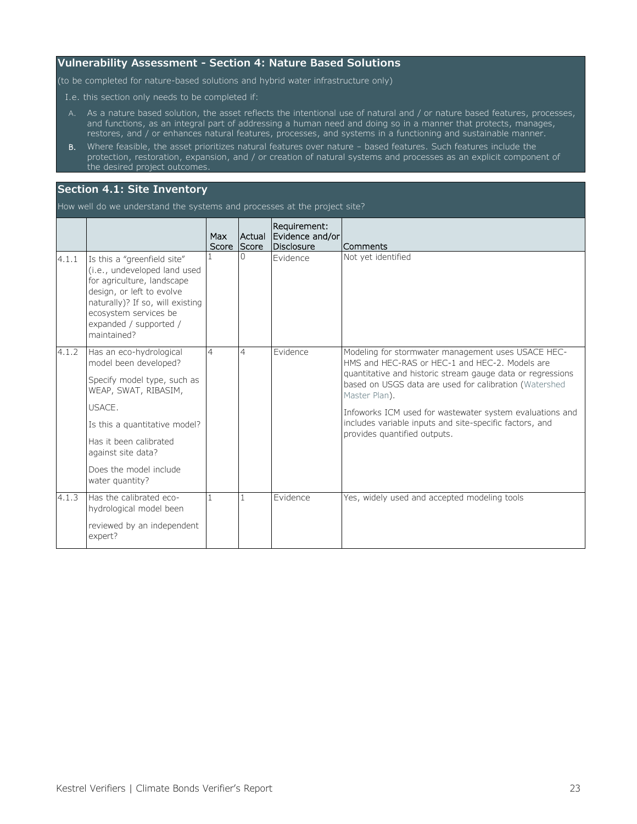#### <span id="page-24-0"></span>**Vulnerability Assessment - Section 4: Nature Based Solutions**

(to be completed for nature-based solutions and hybrid water infrastructure only)

I.e. this section only needs to be completed if:

- A. As a nature based solution, the asset reflects the intentional use of natural and / or nature based features, processes, and functions, as an integral part of addressing a human need and doing so in a manner that protects, manages, restores, and / or enhances natural features, processes, and systems in a functioning and sustainable manner.
- B. Where feasible, the asset prioritizes natural features over nature based features. Such features include the protection, restoration, expansion, and / or creation of natural systems and processes as an explicit component of the desired project outcomes.

#### <span id="page-24-1"></span>**Section 4.1: Site Inventory**

How well do we understand the systems and processes at the project site?

|       |                                                                                                                                                                                                                              | Max<br>Score | <b>Actual</b><br><b>Score</b> | Requirement:<br>Evidence and/or<br>Disclosure | Comments                                                                                                                                                                                                                                      |
|-------|------------------------------------------------------------------------------------------------------------------------------------------------------------------------------------------------------------------------------|--------------|-------------------------------|-----------------------------------------------|-----------------------------------------------------------------------------------------------------------------------------------------------------------------------------------------------------------------------------------------------|
| 4.1.1 | Is this a "greenfield site"<br>(i.e., undeveloped land used<br>for agriculture, landscape<br>design, or left to evolve<br>naturally)? If so, will existing<br>ecosystem services be<br>expanded / supported /<br>maintained? |              |                               | <b>Evidence</b>                               | Not yet identified                                                                                                                                                                                                                            |
| 4.1.2 | Has an eco-hydrological<br>model been developed?<br>Specify model type, such as<br>WEAP, SWAT, RIBASIM,                                                                                                                      | 4            | 4                             | <b>Evidence</b>                               | Modeling for stormwater management uses USACE HEC-<br>HMS and HEC-RAS or HEC-1 and HEC-2. Models are<br>quantitative and historic stream gauge data or regressions<br>based on USGS data are used for calibration (Watershed<br>Master Plan). |
|       | USACE.<br>Is this a quantitative model?<br>Has it been calibrated<br>against site data?<br>Does the model include                                                                                                            |              |                               |                                               | Infoworks ICM used for wastewater system evaluations and<br>includes variable inputs and site-specific factors, and<br>provides quantified outputs.                                                                                           |
| 4.1.3 | water quantity?<br>Has the calibrated eco-<br>hydrological model been<br>reviewed by an independent<br>expert?                                                                                                               |              | 1                             | Evidence                                      | Yes, widely used and accepted modeling tools                                                                                                                                                                                                  |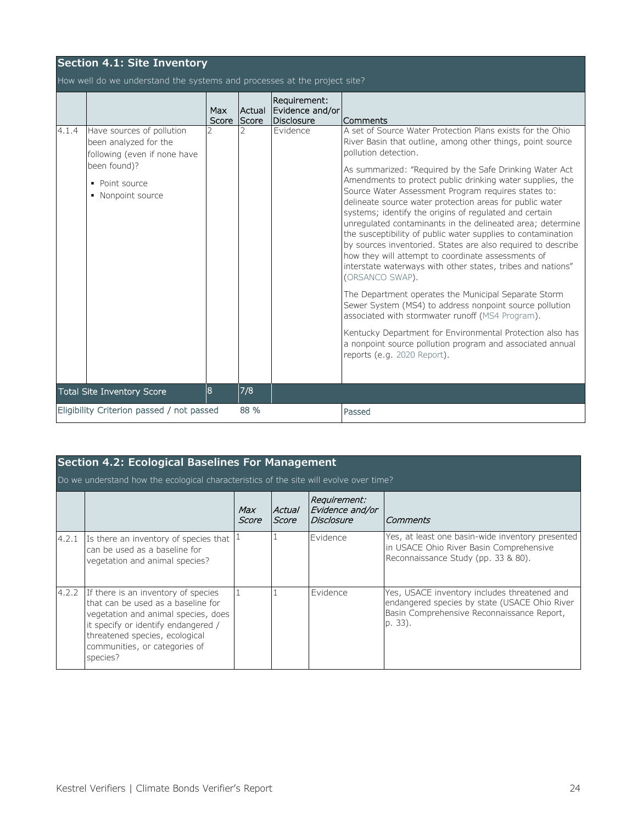|       | <b>Section 4.1: Site Inventory</b>                                                                 |                     |                 |                                               |                                                                                                                                                                                                                                                                                                                                                                                                                                                                                                                                                                                                                                         |  |  |  |  |
|-------|----------------------------------------------------------------------------------------------------|---------------------|-----------------|-----------------------------------------------|-----------------------------------------------------------------------------------------------------------------------------------------------------------------------------------------------------------------------------------------------------------------------------------------------------------------------------------------------------------------------------------------------------------------------------------------------------------------------------------------------------------------------------------------------------------------------------------------------------------------------------------------|--|--|--|--|
|       | How well do we understand the systems and processes at the project site?                           |                     |                 |                                               |                                                                                                                                                                                                                                                                                                                                                                                                                                                                                                                                                                                                                                         |  |  |  |  |
|       |                                                                                                    | <b>Max</b><br>Score | Actual<br>Score | Requirement:<br>Evidence and/or<br>Disclosure | Comments                                                                                                                                                                                                                                                                                                                                                                                                                                                                                                                                                                                                                                |  |  |  |  |
| 4.1.4 | Have sources of pollution<br>been analyzed for the<br>following (even if none have<br>been found)? |                     |                 | Evidence                                      | A set of Source Water Protection Plans exists for the Ohio<br>River Basin that outline, among other things, point source<br>pollution detection.                                                                                                                                                                                                                                                                                                                                                                                                                                                                                        |  |  |  |  |
|       | • Point source<br>• Nonpoint source                                                                |                     |                 |                                               | As summarized: "Required by the Safe Drinking Water Act<br>Amendments to protect public drinking water supplies, the<br>Source Water Assessment Program requires states to:<br>delineate source water protection areas for public water<br>systems; identify the origins of regulated and certain<br>unregulated contaminants in the delineated area; determine<br>the susceptibility of public water supplies to contamination<br>by sources inventoried. States are also required to describe<br>how they will attempt to coordinate assessments of<br>interstate waterways with other states, tribes and nations"<br>(ORSANCO SWAP). |  |  |  |  |
|       |                                                                                                    |                     |                 |                                               | The Department operates the Municipal Separate Storm<br>Sewer System (MS4) to address nonpoint source pollution<br>associated with stormwater runoff (MS4 Program).                                                                                                                                                                                                                                                                                                                                                                                                                                                                     |  |  |  |  |
|       |                                                                                                    |                     |                 |                                               | Kentucky Department for Environmental Protection also has<br>a nonpoint source pollution program and associated annual<br>reports (e.g. 2020 Report).                                                                                                                                                                                                                                                                                                                                                                                                                                                                                   |  |  |  |  |
|       | <b>Total Site Inventory Score</b>                                                                  | 8                   | 7/8             |                                               |                                                                                                                                                                                                                                                                                                                                                                                                                                                                                                                                                                                                                                         |  |  |  |  |
|       | Eligibility Criterion passed / not passed                                                          |                     | 88 %            |                                               | Passed                                                                                                                                                                                                                                                                                                                                                                                                                                                                                                                                                                                                                                  |  |  |  |  |

<span id="page-25-0"></span>

|       | Section 4.2: Ecological Baselines For Management                                                                                                                                                                                       |              |                 |                                               |                                                                                                                                                        |  |  |  |  |  |
|-------|----------------------------------------------------------------------------------------------------------------------------------------------------------------------------------------------------------------------------------------|--------------|-----------------|-----------------------------------------------|--------------------------------------------------------------------------------------------------------------------------------------------------------|--|--|--|--|--|
|       | Do we understand how the ecological characteristics of the site will evolve over time?                                                                                                                                                 |              |                 |                                               |                                                                                                                                                        |  |  |  |  |  |
|       |                                                                                                                                                                                                                                        | Max<br>Score | Actual<br>Score | Requirement:<br>Evidence and/or<br>Disclosure | Comments                                                                                                                                               |  |  |  |  |  |
| 4.2.1 | Is there an inventory of species that<br>can be used as a baseline for<br>vegetation and animal species?                                                                                                                               |              |                 | <b>Evidence</b>                               | Yes, at least one basin-wide inventory presented<br>in USACE Ohio River Basin Comprehensive<br>Reconnaissance Study (pp. 33 & 80).                     |  |  |  |  |  |
| 4.2.2 | If there is an inventory of species<br>that can be used as a baseline for<br>vegetation and animal species, does<br>it specify or identify endangered /<br>threatened species, ecological<br>communities, or categories of<br>species? |              |                 | <b>Evidence</b>                               | Yes, USACE inventory includes threatened and<br>endangered species by state (USACE Ohio River<br>Basin Comprehensive Reconnaissance Report,<br>p. 33). |  |  |  |  |  |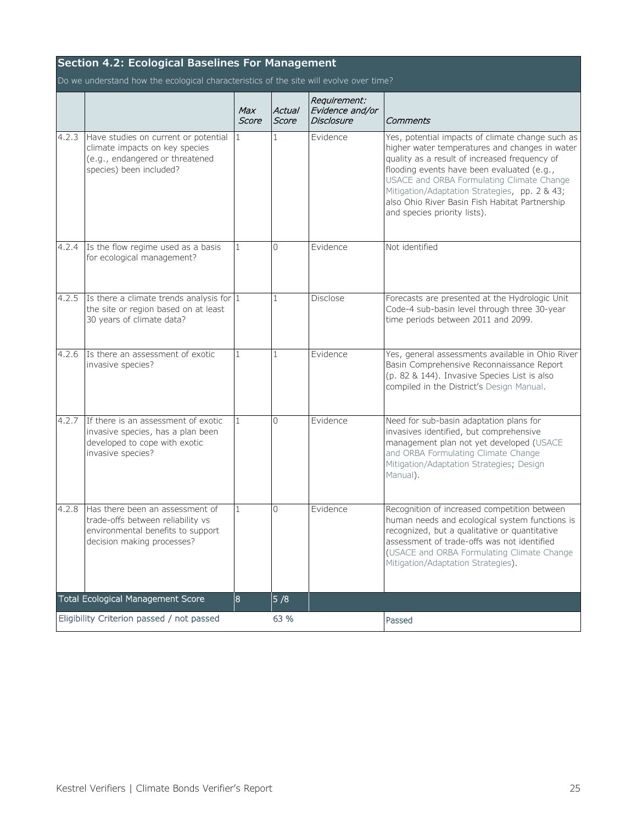|       | <b>Section 4.2: Ecological Baselines For Management</b>                                                                                 |                |                 |                                                      |                                                                                                                                                                                                                                                                                                                                                                                   |  |  |  |  |  |
|-------|-----------------------------------------------------------------------------------------------------------------------------------------|----------------|-----------------|------------------------------------------------------|-----------------------------------------------------------------------------------------------------------------------------------------------------------------------------------------------------------------------------------------------------------------------------------------------------------------------------------------------------------------------------------|--|--|--|--|--|
|       | Do we understand how the ecological characteristics of the site will evolve over time?                                                  |                |                 |                                                      |                                                                                                                                                                                                                                                                                                                                                                                   |  |  |  |  |  |
|       |                                                                                                                                         | Max<br>Score   | Actual<br>Score | Requirement:<br>Evidence and/or<br><b>Disclosure</b> | Comments                                                                                                                                                                                                                                                                                                                                                                          |  |  |  |  |  |
| 4.2.3 | Have studies on current or potential<br>climate impacts on key species<br>(e.g., endangered or threatened<br>species) been included?    | 1              | 1               | Evidence                                             | Yes, potential impacts of climate change such as<br>higher water temperatures and changes in water<br>quality as a result of increased frequency of<br>flooding events have been evaluated (e.g.,<br>USACE and ORBA Formulating Climate Change<br>Mitigation/Adaptation Strategies, pp. 2 & 43;<br>also Ohio River Basin Fish Habitat Partnership<br>and species priority lists). |  |  |  |  |  |
| 4.2.4 | Is the flow regime used as a basis<br>for ecological management?                                                                        | $\mathbf{1}$   | $\Omega$        | Evidence                                             | Not identified                                                                                                                                                                                                                                                                                                                                                                    |  |  |  |  |  |
| 4.2.5 | Is there a climate trends analysis for $ 1 $<br>the site or region based on at least<br>30 years of climate data?                       |                | $\mathbf{1}$    | Disclose                                             | Forecasts are presented at the Hydrologic Unit<br>Code-4 sub-basin level through three 30-year<br>time periods between 2011 and 2099.                                                                                                                                                                                                                                             |  |  |  |  |  |
| 4.2.6 | Is there an assessment of exotic<br>invasive species?                                                                                   | $\mathbf{1}$   | $\mathbf{1}$    | Evidence                                             | Yes, general assessments available in Ohio River<br>Basin Comprehensive Reconnaissance Report<br>(p. 82 & 144). Invasive Species List is also<br>compiled in the District's Design Manual.                                                                                                                                                                                        |  |  |  |  |  |
| 4.2.7 | If there is an assessment of exotic<br>invasive species, has a plan been<br>developed to cope with exotic<br>invasive species?          | 1              | $\Omega$        | Evidence                                             | Need for sub-basin adaptation plans for<br>invasives identified, but comprehensive<br>management plan not yet developed (USACE<br>and ORBA Formulating Climate Change<br>Mitigation/Adaptation Strategies; Design<br>Manual).                                                                                                                                                     |  |  |  |  |  |
| 4.2.8 | Has there been an assessment of<br>trade-offs between reliability vs<br>environmental benefits to support<br>decision making processes? | $\mathbf{1}$   | $\Omega$        | Evidence                                             | Recognition of increased competition between<br>human needs and ecological system functions is<br>recognized, but a qualitative or quantitative<br>assessment of trade-offs was not identified<br>(USACE and ORBA Formulating Climate Change<br>Mitigation/Adaptation Strategies).                                                                                                |  |  |  |  |  |
|       | <b>Total Ecological Management Score</b>                                                                                                | $\overline{8}$ | 5/8             |                                                      |                                                                                                                                                                                                                                                                                                                                                                                   |  |  |  |  |  |
|       | Eligibility Criterion passed / not passed                                                                                               |                | 63 %            |                                                      | Passed                                                                                                                                                                                                                                                                                                                                                                            |  |  |  |  |  |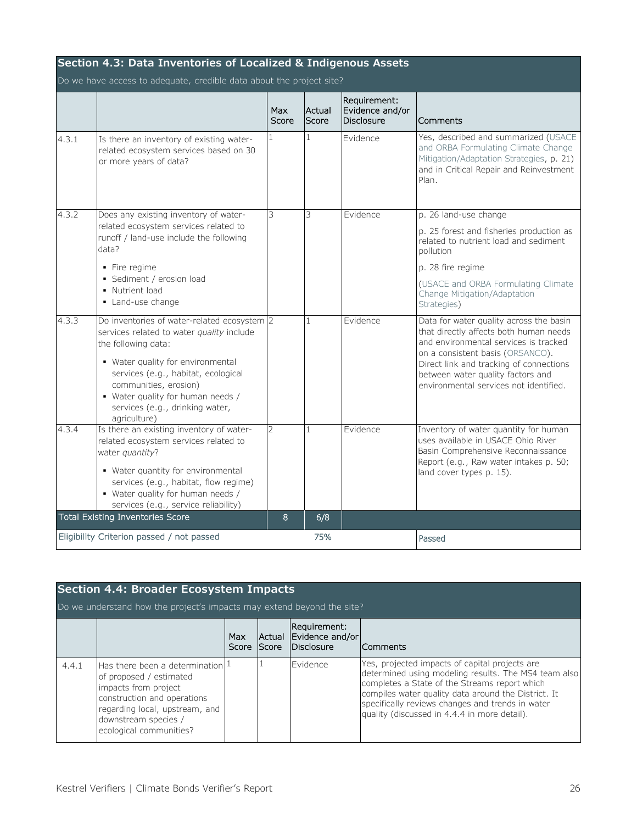<span id="page-27-0"></span>

| Section 4.3: Data Inventories of Localized & Indigenous Assets |                                                                                                                                                                           |                     |                 |                                                      |                                                                                                                                                                             |  |  |  |  |
|----------------------------------------------------------------|---------------------------------------------------------------------------------------------------------------------------------------------------------------------------|---------------------|-----------------|------------------------------------------------------|-----------------------------------------------------------------------------------------------------------------------------------------------------------------------------|--|--|--|--|
|                                                                | Do we have access to adequate, credible data about the project site?                                                                                                      |                     |                 |                                                      |                                                                                                                                                                             |  |  |  |  |
|                                                                |                                                                                                                                                                           | <b>Max</b><br>Score | Actual<br>Score | Requirement:<br>Evidence and/or<br><b>Disclosure</b> | Comments                                                                                                                                                                    |  |  |  |  |
| 4.3.1                                                          | Is there an inventory of existing water-<br>related ecosystem services based on 30<br>or more years of data?                                                              | $\mathbf{1}$        | 1               | Evidence                                             | Yes, described and summarized (USACE<br>and ORBA Formulating Climate Change<br>Mitigation/Adaptation Strategies, p. 21)<br>and in Critical Repair and Reinvestment<br>Plan. |  |  |  |  |
| 4.3.2                                                          | Does any existing inventory of water-                                                                                                                                     | 3                   | 3               | Evidence                                             | p. 26 land-use change                                                                                                                                                       |  |  |  |  |
|                                                                | related ecosystem services related to<br>runoff / land-use include the following<br>data?                                                                                 |                     |                 |                                                      | p. 25 forest and fisheries production as<br>related to nutrient load and sediment<br>pollution                                                                              |  |  |  |  |
|                                                                | • Fire regime                                                                                                                                                             |                     |                 |                                                      | p. 28 fire regime                                                                                                                                                           |  |  |  |  |
|                                                                | • Sediment / erosion load<br>• Nutrient load<br>• Land-use change                                                                                                         |                     |                 |                                                      | (USACE and ORBA Formulating Climate<br>Change Mitigation/Adaptation<br>Strategies)                                                                                          |  |  |  |  |
| 4.3.3                                                          | Do inventories of water-related ecosystem 2<br>services related to water quality include<br>the following data:                                                           |                     | 1               | Evidence                                             | Data for water quality across the basin<br>that directly affects both human needs<br>and environmental services is tracked<br>on a consistent basis (ORSANCO).              |  |  |  |  |
|                                                                | • Water quality for environmental<br>services (e.g., habitat, ecological<br>communities, erosion)<br>• Water quality for human needs /<br>services (e.g., drinking water, |                     |                 |                                                      | Direct link and tracking of connections<br>between water quality factors and<br>environmental services not identified.                                                      |  |  |  |  |
| 4.3.4                                                          | agriculture)<br>Is there an existing inventory of water-                                                                                                                  | $\overline{2}$      | $\mathbf{1}$    | Evidence                                             | Inventory of water quantity for human                                                                                                                                       |  |  |  |  |
|                                                                | related ecosystem services related to<br>water quantity?                                                                                                                  |                     |                 |                                                      | uses available in USACE Ohio River<br>Basin Comprehensive Reconnaissance                                                                                                    |  |  |  |  |
|                                                                | • Water quantity for environmental<br>services (e.g., habitat, flow regime)<br>• Water quality for human needs /<br>services (e.g., service reliability)                  |                     |                 |                                                      | Report (e.g., Raw water intakes p. 50;<br>land cover types p. 15).                                                                                                          |  |  |  |  |
|                                                                | <b>Total Existing Inventories Score</b>                                                                                                                                   | 8                   | 6/8             |                                                      |                                                                                                                                                                             |  |  |  |  |
|                                                                | Eligibility Criterion passed / not passed                                                                                                                                 |                     | 75%             |                                                      | Passed                                                                                                                                                                      |  |  |  |  |

<span id="page-27-1"></span>

|       | <b>Section 4.4: Broader Ecosystem Impacts</b><br>Do we understand how the project's impacts may extend beyond the site?                                                                                             |              |                        |                                               |                                                                                                                                                                                                                                                                                                                    |  |  |  |  |  |
|-------|---------------------------------------------------------------------------------------------------------------------------------------------------------------------------------------------------------------------|--------------|------------------------|-----------------------------------------------|--------------------------------------------------------------------------------------------------------------------------------------------------------------------------------------------------------------------------------------------------------------------------------------------------------------------|--|--|--|--|--|
|       |                                                                                                                                                                                                                     | Max<br>Score | Actual<br><b>Score</b> | Requirement:<br>Evidence and/or<br>Disclosure | <b>Comments</b>                                                                                                                                                                                                                                                                                                    |  |  |  |  |  |
| 4.4.1 | Has there been a determination $\frac{1}{2}$<br>of proposed / estimated<br>impacts from project<br>construction and operations<br>regarding local, upstream, and<br>downstream species /<br>ecological communities? |              |                        | <b>IFvidence</b>                              | Yes, projected impacts of capital projects are<br>determined using modeling results. The MS4 team also<br>completes a State of the Streams report which<br>compiles water quality data around the District. It<br>specifically reviews changes and trends in water<br>quality (discussed in 4.4.4 in more detail). |  |  |  |  |  |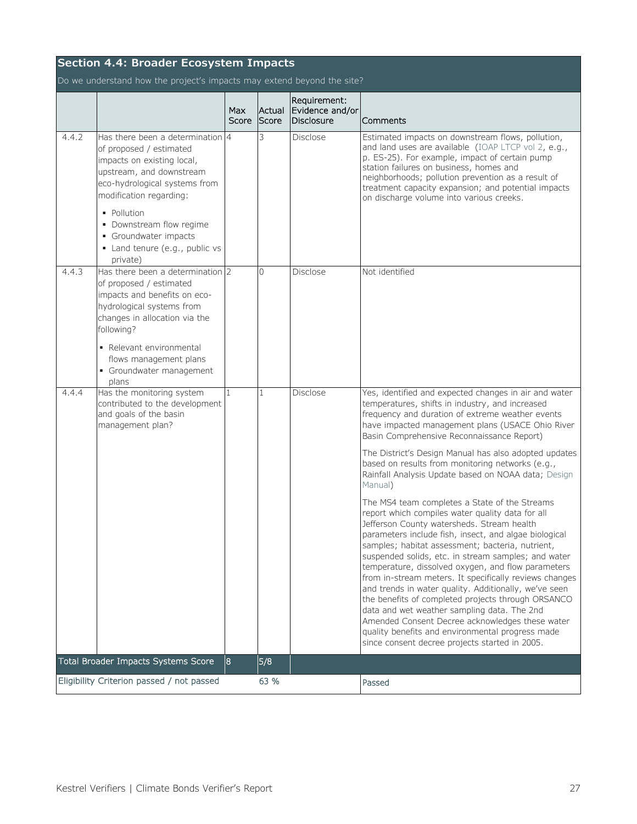| <b>Section 4.4: Broader Ecosystem Impacts</b> |                                                                                                                                                                                                                                                                                                     |                     |                 |                                               |                                                                                                                                                                                                                                                                                                                                                                                                                                                                                                                                                                                                                                                                                                                                                            |  |  |  |  |
|-----------------------------------------------|-----------------------------------------------------------------------------------------------------------------------------------------------------------------------------------------------------------------------------------------------------------------------------------------------------|---------------------|-----------------|-----------------------------------------------|------------------------------------------------------------------------------------------------------------------------------------------------------------------------------------------------------------------------------------------------------------------------------------------------------------------------------------------------------------------------------------------------------------------------------------------------------------------------------------------------------------------------------------------------------------------------------------------------------------------------------------------------------------------------------------------------------------------------------------------------------------|--|--|--|--|
|                                               | Do we understand how the project's impacts may extend beyond the site?                                                                                                                                                                                                                              |                     |                 |                                               |                                                                                                                                                                                                                                                                                                                                                                                                                                                                                                                                                                                                                                                                                                                                                            |  |  |  |  |
|                                               |                                                                                                                                                                                                                                                                                                     | <b>Max</b><br>Score | Actual<br>Score | Requirement:<br>Evidence and/or<br>Disclosure | Comments                                                                                                                                                                                                                                                                                                                                                                                                                                                                                                                                                                                                                                                                                                                                                   |  |  |  |  |
| 4.4.2                                         | Has there been a determination 4<br>of proposed / estimated<br>impacts on existing local,<br>upstream, and downstream<br>eco-hydrological systems from<br>modification regarding:<br>· Pollution<br>• Downstream flow regime<br>• Groundwater impacts<br>· Land tenure (e.g., public vs<br>private) |                     | 3               | Disclose                                      | Estimated impacts on downstream flows, pollution,<br>and land uses are available (IOAP LTCP vol 2, e.g.,<br>p. ES-25). For example, impact of certain pump<br>station failures on business, homes and<br>neighborhoods; pollution prevention as a result of<br>treatment capacity expansion; and potential impacts<br>on discharge volume into various creeks.                                                                                                                                                                                                                                                                                                                                                                                             |  |  |  |  |
| 4.4.3                                         | Has there been a determination 2<br>of proposed / estimated<br>impacts and benefits on eco-<br>hydrological systems from<br>changes in allocation via the<br>following?                                                                                                                             |                     | $\Omega$        | Disclose                                      | Not identified                                                                                                                                                                                                                                                                                                                                                                                                                                                                                                                                                                                                                                                                                                                                             |  |  |  |  |
| 4.4.4                                         | - Relevant environmental<br>flows management plans<br>• Groundwater management<br>plans<br>Has the monitoring system<br>contributed to the development<br>and goals of the basin<br>management plan?                                                                                                | $\mathbf{1}$        | 1               | Disclose                                      | Yes, identified and expected changes in air and water<br>temperatures, shifts in industry, and increased<br>frequency and duration of extreme weather events<br>have impacted management plans (USACE Ohio River                                                                                                                                                                                                                                                                                                                                                                                                                                                                                                                                           |  |  |  |  |
|                                               |                                                                                                                                                                                                                                                                                                     |                     |                 |                                               | Basin Comprehensive Reconnaissance Report)<br>The District's Design Manual has also adopted updates<br>based on results from monitoring networks (e.g.,<br>Rainfall Analysis Update based on NOAA data; Design<br>Manual)                                                                                                                                                                                                                                                                                                                                                                                                                                                                                                                                  |  |  |  |  |
|                                               |                                                                                                                                                                                                                                                                                                     |                     |                 |                                               | The MS4 team completes a State of the Streams<br>report which compiles water quality data for all<br>Jefferson County watersheds. Stream health<br>parameters include fish, insect, and algae biological<br>samples; habitat assessment; bacteria, nutrient,<br>suspended solids, etc. in stream samples; and water<br>temperature, dissolved oxygen, and flow parameters<br>from in-stream meters. It specifically reviews changes<br>and trends in water quality. Additionally, we've seen<br>the benefits of completed projects through ORSANCO<br>data and wet weather sampling data. The 2nd<br>Amended Consent Decree acknowledges these water<br>quality benefits and environmental progress made<br>since consent decree projects started in 2005. |  |  |  |  |
|                                               | Total Broader Impacts Systems Score                                                                                                                                                                                                                                                                 | 8                   | 5/8             |                                               |                                                                                                                                                                                                                                                                                                                                                                                                                                                                                                                                                                                                                                                                                                                                                            |  |  |  |  |
|                                               | Eligibility Criterion passed / not passed                                                                                                                                                                                                                                                           |                     | 63 %            |                                               | Passed                                                                                                                                                                                                                                                                                                                                                                                                                                                                                                                                                                                                                                                                                                                                                     |  |  |  |  |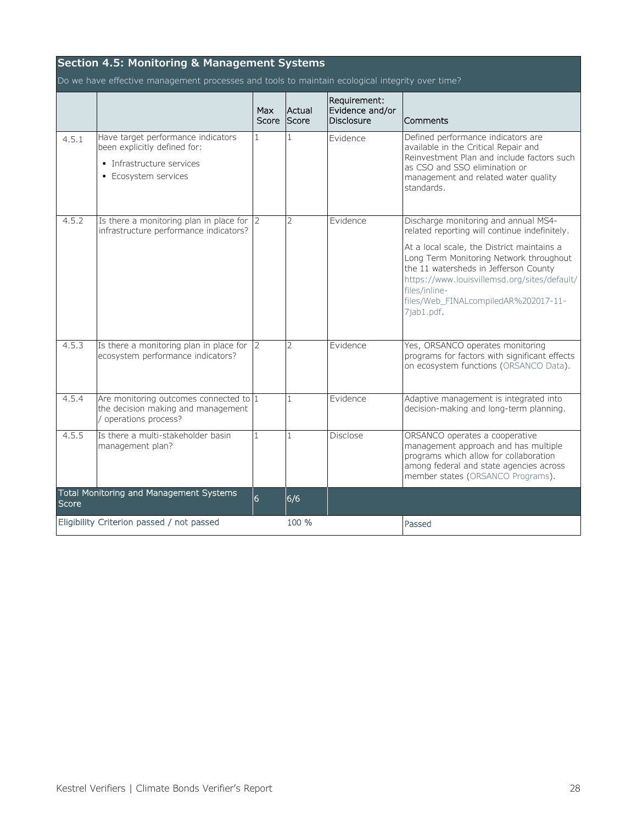<span id="page-29-0"></span>

| <b>Section 4.5: Monitoring &amp; Management Systems</b>                                         |                                                                                                                         |                |                          |                                                      |                                                                                                                                                                                                                                                       |  |  |  |  |
|-------------------------------------------------------------------------------------------------|-------------------------------------------------------------------------------------------------------------------------|----------------|--------------------------|------------------------------------------------------|-------------------------------------------------------------------------------------------------------------------------------------------------------------------------------------------------------------------------------------------------------|--|--|--|--|
| Do we have effective management processes and tools to maintain ecological integrity over time? |                                                                                                                         |                |                          |                                                      |                                                                                                                                                                                                                                                       |  |  |  |  |
|                                                                                                 |                                                                                                                         | Max<br>Score   | Actual<br>Score          | Requirement:<br>Evidence and/or<br><b>Disclosure</b> | Comments                                                                                                                                                                                                                                              |  |  |  |  |
| 4.5.1                                                                                           | Have target performance indicators<br>been explicitly defined for:<br>· Infrastructure services<br>• Ecosystem services | $\mathbf{1}$   | $\mathbf{1}$             | Evidence                                             | Defined performance indicators are<br>available in the Critical Repair and<br>Reinvestment Plan and include factors such<br>as CSO and SSO elimination or<br>management and related water quality<br>standards.                                       |  |  |  |  |
| 4.5.2                                                                                           | Is there a monitoring plan in place for $ 2 $<br>infrastructure performance indicators?                                 |                | $\overline{\phantom{a}}$ | Evidence                                             | Discharge monitoring and annual MS4-<br>related reporting will continue indefinitely.                                                                                                                                                                 |  |  |  |  |
|                                                                                                 |                                                                                                                         |                |                          |                                                      | At a local scale, the District maintains a<br>Long Term Monitoring Network throughout<br>the 11 watersheds in Jefferson County<br>https://www.louisvillemsd.org/sites/default/<br>files/inline-<br>files/Web_FINALcompiledAR%202017-11-<br>7jab1.pdf. |  |  |  |  |
| 4.5.3                                                                                           | Is there a monitoring plan in place for $ 2 $<br>ecosystem performance indicators?                                      |                | $\overline{2}$           | Evidence                                             | Yes, ORSANCO operates monitoring<br>programs for factors with significant effects<br>on ecosystem functions (ORSANCO Data).                                                                                                                           |  |  |  |  |
| 4.5.4                                                                                           | Are monitoring outcomes connected to $ 1 $<br>the decision making and management<br>/ operations process?               |                | 1                        | <b>Evidence</b>                                      | Adaptive management is integrated into<br>decision-making and long-term planning.                                                                                                                                                                     |  |  |  |  |
| 4.5.5                                                                                           | Is there a multi-stakeholder basin<br>management plan?                                                                  | 1              | 1                        | <b>Disclose</b>                                      | ORSANCO operates a cooperative<br>management approach and has multiple<br>programs which allow for collaboration<br>among federal and state agencies across<br>member states (ORSANCO Programs).                                                      |  |  |  |  |
| Score                                                                                           | Total Monitoring and Management Systems                                                                                 | $\overline{6}$ | 6/6                      |                                                      |                                                                                                                                                                                                                                                       |  |  |  |  |
|                                                                                                 | Eligibility Criterion passed / not passed                                                                               |                | 100 %                    |                                                      | Passed                                                                                                                                                                                                                                                |  |  |  |  |